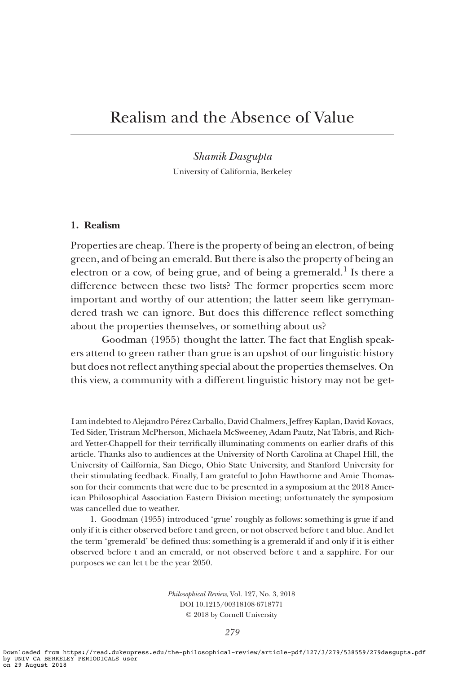# Realism and the Absence of Value

Shamik Dasgupta University of California, Berkeley

## 1. Realism

Properties are cheap. There is the property of being an electron, of being green, and of being an emerald. But there is also the property of being an electron or a cow, of being grue, and of being a gremerald.<sup>1</sup> Is there a difference between these two lists? The former properties seem more important and worthy of our attention; the latter seem like gerrymandered trash we can ignore. But does this difference reflect something about the properties themselves, or something about us?

Goodman (1955) thought the latter. The fact that English speakers attend to green rather than grue is an upshot of our linguistic history but does not reflect anything special about the properties themselves. On this view, a community with a different linguistic history may not be get-

I am indebted to Alejandro Pérez Carballo, David Chalmers, Jeffrey Kaplan, David Kovacs, Ted Sider, Tristram McPherson, Michaela McSweeney, Adam Pautz, Nat Tabris, and Richard Yetter-Chappell for their terrifically illuminating comments on earlier drafts of this article. Thanks also to audiences at the University of North Carolina at Chapel Hill, the University of Cailfornia, San Diego, Ohio State University, and Stanford University for their stimulating feedback. Finally, I am grateful to John Hawthorne and Amie Thomasson for their comments that were due to be presented in a symposium at the 2018 American Philosophical Association Eastern Division meeting; unfortunately the symposium was cancelled due to weather.

1. Goodman (1955) introduced 'grue' roughly as follows: something is grue if and only if it is either observed before t and green, or not observed before t and blue. And let the term 'gremerald' be defined thus: something is a gremerald if and only if it is either observed before t and an emerald, or not observed before t and a sapphire. For our purposes we can let t be the year 2050.

> Philosophical Review, Vol. 127, No. 3, 2018 DOI 10.1215/00318108-6718771  $©$  2018 by Cornell University

> > 279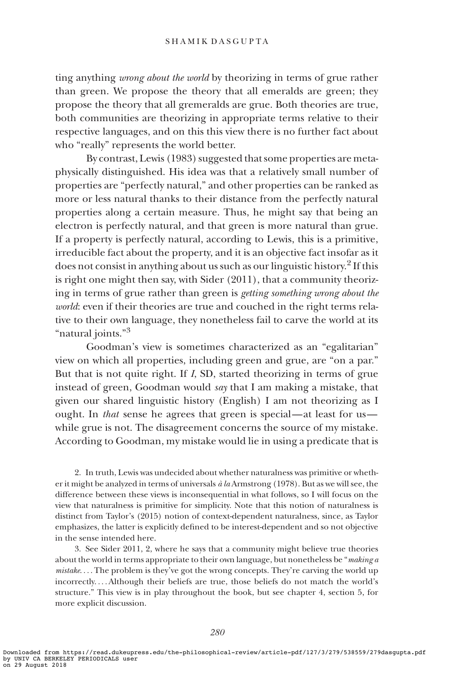ting anything wrong about the world by theorizing in terms of grue rather than green. We propose the theory that all emeralds are green; they propose the theory that all gremeralds are grue. Both theories are true, both communities are theorizing in appropriate terms relative to their respective languages, and on this this view there is no further fact about who "really" represents the world better.

By contrast, Lewis (1983) suggested that some properties are metaphysically distinguished. His idea was that a relatively small number of properties are "perfectly natural," and other properties can be ranked as more or less natural thanks to their distance from the perfectly natural properties along a certain measure. Thus, he might say that being an electron is perfectly natural, and that green is more natural than grue. If a property is perfectly natural, according to Lewis, this is a primitive, irreducible fact about the property, and it is an objective fact insofar as it does not consist in anything about us such as our linguistic history.<sup>2</sup> If this is right one might then say, with Sider (2011), that a community theorizing in terms of grue rather than green is getting something wrong about the world: even if their theories are true and couched in the right terms relative to their own language, they nonetheless fail to carve the world at its "natural joints."<sup>3</sup>

Goodman's view is sometimes characterized as an "egalitarian" view on which all properties, including green and grue, are "on a par." But that is not quite right. If I, SD, started theorizing in terms of grue instead of green, Goodman would say that I am making a mistake, that given our shared linguistic history (English) I am not theorizing as I ought. In that sense he agrees that green is special—at least for us while grue is not. The disagreement concerns the source of my mistake. According to Goodman, my mistake would lie in using a predicate that is

2. In truth, Lewis was undecided about whether naturalness was primitive or whether it might be analyzed in terms of universals  $\dot{a}$  la Armstrong (1978). But as we will see, the difference between these views is inconsequential in what follows, so I will focus on the view that naturalness is primitive for simplicity. Note that this notion of naturalness is distinct from Taylor's (2015) notion of context-dependent naturalness, since, as Taylor emphasizes, the latter is explicitly defined to be interest-dependent and so not objective in the sense intended here.

3. See Sider 2011, 2, where he says that a community might believe true theories about the world in terms appropriate to their own language, but nonetheless be "making a mistake. ... The problem is they've got the wrong concepts. They're carving the world up incorrectly. ... Although their beliefs are true, those beliefs do not match the world's structure." This view is in play throughout the book, but see chapter 4, section 5, for more explicit discussion.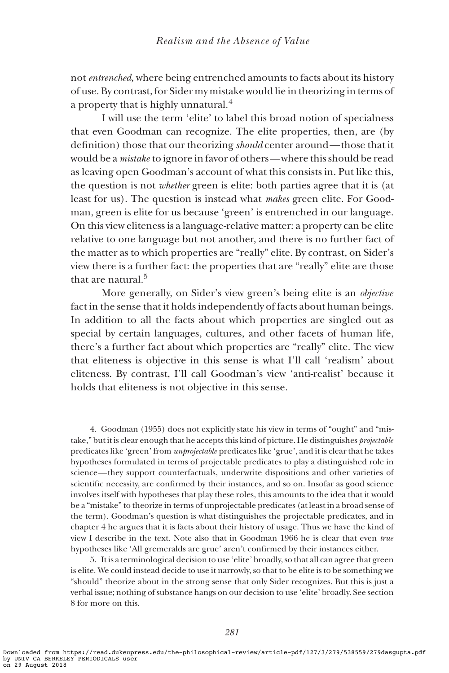not entrenched, where being entrenched amounts to facts about its history of use. By contrast, for Sider my mistake would lie in theorizing in terms of a property that is highly unnatural.<sup>4</sup>

I will use the term 'elite' to label this broad notion of specialness that even Goodman can recognize. The elite properties, then, are (by definition) those that our theorizing should center around— those that it would be a mistake to ignore in favor of others—where this should be read as leaving open Goodman's account of what this consists in. Put like this, the question is not whether green is elite: both parties agree that it is (at least for us). The question is instead what makes green elite. For Goodman, green is elite for us because 'green' is entrenched in our language. On this view eliteness is a language-relative matter: a property can be elite relative to one language but not another, and there is no further fact of the matter as to which properties are "really" elite. By contrast, on Sider's view there is a further fact: the properties that are "really" elite are those that are natural.<sup>5</sup>

More generally, on Sider's view green's being elite is an *objective* fact in the sense that it holds independently of facts about human beings. In addition to all the facts about which properties are singled out as special by certain languages, cultures, and other facets of human life, there's a further fact about which properties are "really" elite. The view that eliteness is objective in this sense is what I'll call 'realism' about eliteness. By contrast, I'll call Goodman's view 'anti-realist' because it holds that eliteness is not objective in this sense.

4. Goodman (1955) does not explicitly state his view in terms of "ought" and "mistake," but it is clear enough that he accepts this kind of picture. He distinguishes projectable predicates like 'green' from unprojectable predicates like 'grue', and it is clear that he takes hypotheses formulated in terms of projectable predicates to play a distinguished role in science— they support counterfactuals, underwrite dispositions and other varieties of scientific necessity, are confirmed by their instances, and so on. Insofar as good science involves itself with hypotheses that play these roles, this amounts to the idea that it would be a "mistake" to theorize in terms of unprojectable predicates (at least in a broad sense of the term). Goodman's question is what distinguishes the projectable predicates, and in chapter 4 he argues that it is facts about their history of usage. Thus we have the kind of view I describe in the text. Note also that in Goodman 1966 he is clear that even true hypotheses like 'All gremeralds are grue' aren't confirmed by their instances either.

5. It is a terminological decision to use 'elite' broadly, so that all can agree that green is elite. We could instead decide to use it narrowly, so that to be elite is to be something we "should" theorize about in the strong sense that only Sider recognizes. But this is just a verbal issue; nothing of substance hangs on our decision to use 'elite' broadly. See section 8 for more on this.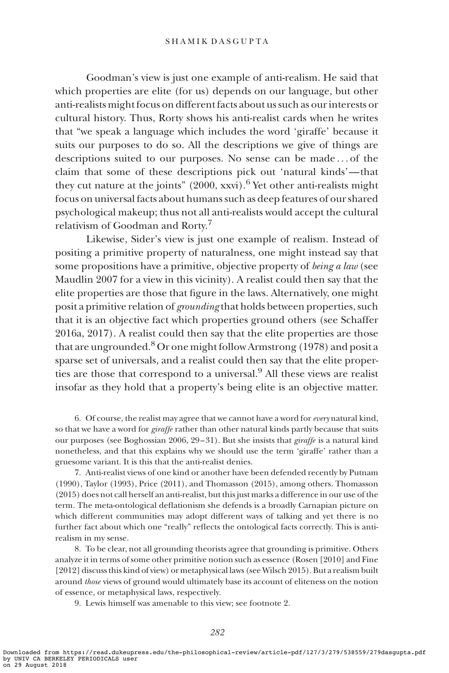#### SHAMIK DASGUPTA

Goodman's view is just one example of anti-realism. He said that which properties are elite (for us) depends on our language, but other anti-realists might focus on different facts about us such as our interests or cultural history. Thus, Rorty shows his anti-realist cards when he writes that "we speak a language which includes the word 'giraffe' because it suits our purposes to do so. All the descriptions we give of things are descriptions suited to our purposes. No sense can be made ... of the claim that some of these descriptions pick out 'natural kinds'— that they cut nature at the joints"  $(2000, xxy)$ .<sup>6</sup> Yet other anti-realists might focus on universal facts about humans such as deep features of our shared psychological makeup; thus not all anti-realists would accept the cultural relativism of Goodman and Rorty.<sup>7</sup>

Likewise, Sider's view is just one example of realism. Instead of positing a primitive property of naturalness, one might instead say that some propositions have a primitive, objective property of *being a law* (see Maudlin 2007 for a view in this vicinity). A realist could then say that the elite properties are those that figure in the laws. Alternatively, one might posit a primitive relation of *grounding* that holds between properties, such that it is an objective fact which properties ground others (see Schaffer 2016a, 2017). A realist could then say that the elite properties are those that are ungrounded.<sup>8</sup> Or one might follow Armstrong (1978) and posit a sparse set of universals, and a realist could then say that the elite properties are those that correspond to a universal.<sup>9</sup> All these views are realist insofar as they hold that a property's being elite is an objective matter.

6. Of course, the realist may agree that we cannot have a word for *every* natural kind, so that we have a word for giraffe rather than other natural kinds partly because that suits our purposes (see Boghossian 2006, 29–31). But she insists that giraffe is a natural kind nonetheless, and that this explains why we should use the term 'giraffe' rather than a gruesome variant. It is this that the anti-realist denies.

7. Anti-realist views of one kind or another have been defended recently by Putnam (1990), Taylor (1993), Price (2011), and Thomasson (2015), among others. Thomasson (2015) does not call herself an anti-realist, but this just marks a difference in our use of the term. The meta-ontological deflationism she defends is a broadly Carnapian picture on which different communities may adopt different ways of talking and yet there is no further fact about which one "really" reflects the ontological facts correctly. This is antirealism in my sense.

8. To be clear, not all grounding theorists agree that grounding is primitive. Others analyze it in terms of some other primitive notion such as essence (Rosen [2010] and Fine [2012] discuss this kind of view) or metaphysical laws (see Wilsch 2015). But a realism built around those views of ground would ultimately base its account of eliteness on the notion of essence, or metaphysical laws, respectively.

9. Lewis himself was amenable to this view; see footnote 2.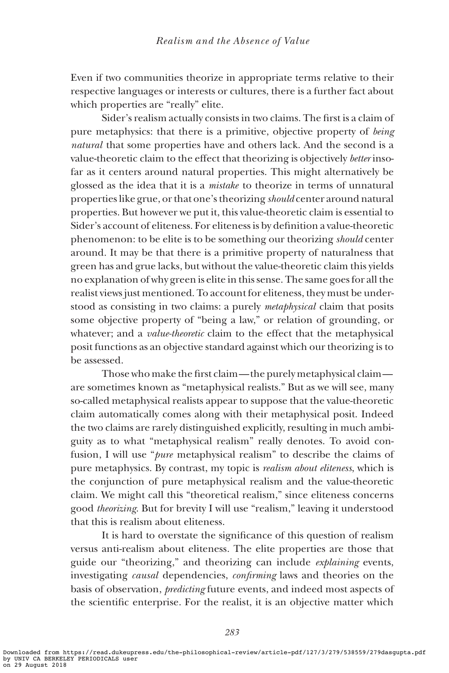Even if two communities theorize in appropriate terms relative to their respective languages or interests or cultures, there is a further fact about which properties are "really" elite.

Sider's realism actually consists in two claims. The first is a claim of pure metaphysics: that there is a primitive, objective property of being natural that some properties have and others lack. And the second is a value-theoretic claim to the effect that theorizing is objectively better insofar as it centers around natural properties. This might alternatively be glossed as the idea that it is a mistake to theorize in terms of unnatural properties like grue, or that one's theorizing should center around natural properties. But however we put it, this value-theoretic claim is essential to Sider's account of eliteness. For eliteness is by definition a value-theoretic phenomenon: to be elite is to be something our theorizing should center around. It may be that there is a primitive property of naturalness that green has and grue lacks, but without the value-theoretic claim this yields no explanation of why green is elite in this sense. The same goes for all the realist views just mentioned. To account for eliteness, they must be understood as consisting in two claims: a purely metaphysical claim that posits some objective property of "being a law," or relation of grounding, or whatever; and a *value-theoretic* claim to the effect that the metaphysical posit functions as an objective standard against which our theorizing is to be assessed.

Those who make the first claim— the purely metaphysical claim are sometimes known as "metaphysical realists." But as we will see, many so-called metaphysical realists appear to suppose that the value-theoretic claim automatically comes along with their metaphysical posit. Indeed the two claims are rarely distinguished explicitly, resulting in much ambiguity as to what "metaphysical realism" really denotes. To avoid confusion, I will use "pure metaphysical realism" to describe the claims of pure metaphysics. By contrast, my topic is realism about eliteness, which is the conjunction of pure metaphysical realism and the value-theoretic claim. We might call this "theoretical realism," since eliteness concerns good theorizing. But for brevity I will use "realism," leaving it understood that this is realism about eliteness.

It is hard to overstate the significance of this question of realism versus anti-realism about eliteness. The elite properties are those that guide our "theorizing," and theorizing can include *explaining* events, investigating causal dependencies, confirming laws and theories on the basis of observation, predicting future events, and indeed most aspects of the scientific enterprise. For the realist, it is an objective matter which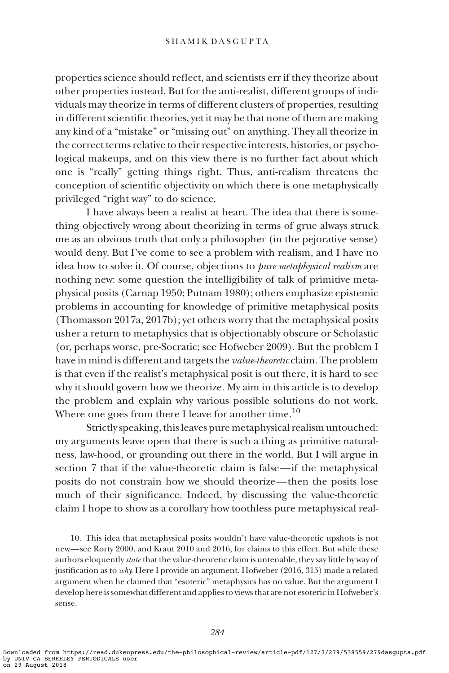properties science should reflect, and scientists err if they theorize about other properties instead. But for the anti-realist, different groups of individuals may theorize in terms of different clusters of properties, resulting in different scientific theories, yet it may be that none of them are making any kind of a "mistake" or "missing out" on anything. They all theorize in the correct terms relative to their respective interests, histories, or psychological makeups, and on this view there is no further fact about which one is "really" getting things right. Thus, anti-realism threatens the conception of scientific objectivity on which there is one metaphysically privileged "right way" to do science.

I have always been a realist at heart. The idea that there is something objectively wrong about theorizing in terms of grue always struck me as an obvious truth that only a philosopher (in the pejorative sense) would deny. But I've come to see a problem with realism, and I have no idea how to solve it. Of course, objections to pure metaphysical realism are nothing new: some question the intelligibility of talk of primitive metaphysical posits (Carnap 1950; Putnam 1980); others emphasize epistemic problems in accounting for knowledge of primitive metaphysical posits (Thomasson 2017a, 2017b); yet others worry that the metaphysical posits usher a return to metaphysics that is objectionably obscure or Scholastic (or, perhaps worse, pre-Socratic; see Hofweber 2009). But the problem I have in mind is different and targets the *value-theoretic* claim. The problem is that even if the realist's metaphysical posit is out there, it is hard to see why it should govern how we theorize. My aim in this article is to develop the problem and explain why various possible solutions do not work. Where one goes from there I leave for another time.<sup>10</sup>

Strictly speaking, this leaves pure metaphysical realism untouched: my arguments leave open that there is such a thing as primitive naturalness, law-hood, or grounding out there in the world. But I will argue in section 7 that if the value-theoretic claim is false—if the metaphysical posits do not constrain how we should theorize— then the posits lose much of their significance. Indeed, by discussing the value-theoretic claim I hope to show as a corollary how toothless pure metaphysical real-

10. This idea that metaphysical posits wouldn't have value-theoretic upshots is not new—see Rorty 2000, and Kraut 2010 and 2016, for claims to this effect. But while these authors eloquently *state* that the value-theoretic claim is untenable, they say little by way of justification as to why. Here I provide an argument. Hofweber (2016, 315) made a related argument when he claimed that "esoteric" metaphysics has no value. But the argument I develop here is somewhat different and applies to views that are not esoteric in Hofweber's sense.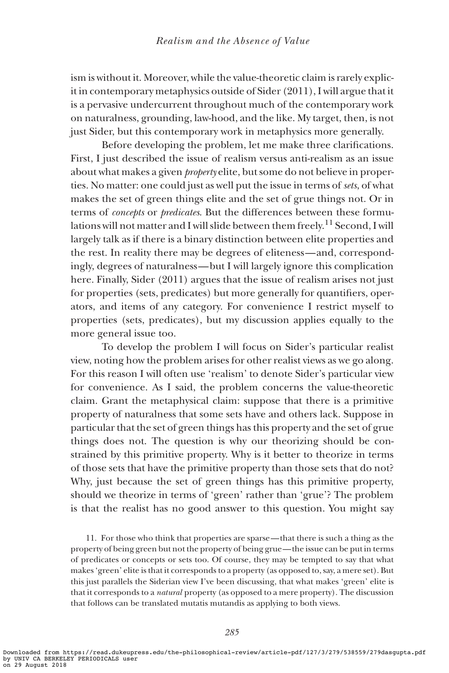ism is without it. Moreover, while the value-theoretic claim is rarely explicit in contemporary metaphysics outside of Sider (2011), I will argue that it is a pervasive undercurrent throughout much of the contemporary work on naturalness, grounding, law-hood, and the like. My target, then, is not just Sider, but this contemporary work in metaphysics more generally.

Before developing the problem, let me make three clarifications. First, I just described the issue of realism versus anti-realism as an issue about what makes a given *property* elite, but some do not believe in properties. No matter: one could just as well put the issue in terms of sets, of what makes the set of green things elite and the set of grue things not. Or in terms of concepts or predicates. But the differences between these formulations will not matter and I will slide between them freely.<sup>11</sup> Second, I will largely talk as if there is a binary distinction between elite properties and the rest. In reality there may be degrees of eliteness—and, correspondingly, degrees of naturalness—but I will largely ignore this complication here. Finally, Sider (2011) argues that the issue of realism arises not just for properties (sets, predicates) but more generally for quantifiers, operators, and items of any category. For convenience I restrict myself to properties (sets, predicates), but my discussion applies equally to the more general issue too.

To develop the problem I will focus on Sider's particular realist view, noting how the problem arises for other realist views as we go along. For this reason I will often use 'realism' to denote Sider's particular view for convenience. As I said, the problem concerns the value-theoretic claim. Grant the metaphysical claim: suppose that there is a primitive property of naturalness that some sets have and others lack. Suppose in particular that the set of green things has this property and the set of grue things does not. The question is why our theorizing should be constrained by this primitive property. Why is it better to theorize in terms of those sets that have the primitive property than those sets that do not? Why, just because the set of green things has this primitive property, should we theorize in terms of 'green' rather than 'grue'? The problem is that the realist has no good answer to this question. You might say

11. For those who think that properties are sparse— that there is such a thing as the property of being green but not the property of being grue— the issue can be put in terms of predicates or concepts or sets too. Of course, they may be tempted to say that what makes 'green' elite is that it corresponds to a property (as opposed to, say, a mere set). But this just parallels the Siderian view I've been discussing, that what makes 'green' elite is that it corresponds to a natural property (as opposed to a mere property). The discussion that follows can be translated mutatis mutandis as applying to both views.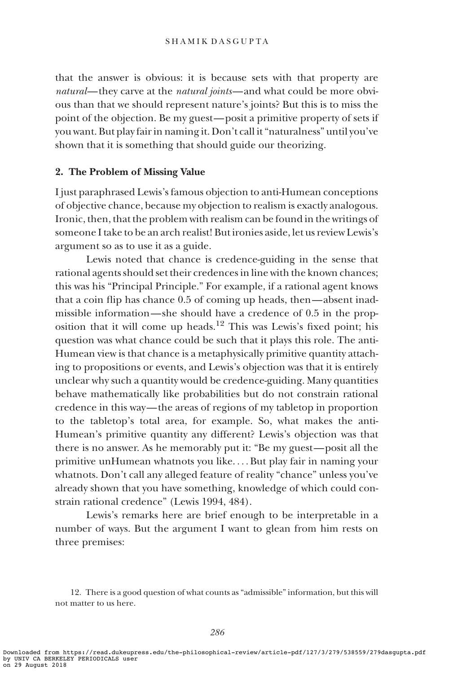that the answer is obvious: it is because sets with that property are natural—they carve at the natural joints—and what could be more obvious than that we should represent nature's joints? But this is to miss the point of the objection. Be my guest—posit a primitive property of sets if you want. But play fair in naming it. Don't call it "naturalness" until you've shown that it is something that should guide our theorizing.

#### 2. The Problem of Missing Value

I just paraphrased Lewis's famous objection to anti-Humean conceptions of objective chance, because my objection to realism is exactly analogous. Ironic, then, that the problem with realism can be found in the writings of someone I take to be an arch realist! But ironies aside, let us review Lewis's argument so as to use it as a guide.

Lewis noted that chance is credence-guiding in the sense that rational agents should set their credences in line with the known chances; this was his "Principal Principle." For example, if a rational agent knows that a coin flip has chance 0.5 of coming up heads, then—absent inadmissible information—she should have a credence of 0.5 in the proposition that it will come up heads.<sup>12</sup> This was Lewis's fixed point; his question was what chance could be such that it plays this role. The anti-Humean view is that chance is a metaphysically primitive quantity attaching to propositions or events, and Lewis's objection was that it is entirely unclear why such a quantity would be credence-guiding. Many quantities behave mathematically like probabilities but do not constrain rational credence in this way— the areas of regions of my tabletop in proportion to the tabletop's total area, for example. So, what makes the anti-Humean's primitive quantity any different? Lewis's objection was that there is no answer. As he memorably put it: "Be my guest—posit all the primitive unHumean whatnots you like. ... But play fair in naming your whatnots. Don't call any alleged feature of reality "chance" unless you've already shown that you have something, knowledge of which could constrain rational credence" (Lewis 1994, 484).

Lewis's remarks here are brief enough to be interpretable in a number of ways. But the argument I want to glean from him rests on three premises:

<sup>12.</sup> There is a good question of what counts as "admissible" information, but this will not matter to us here.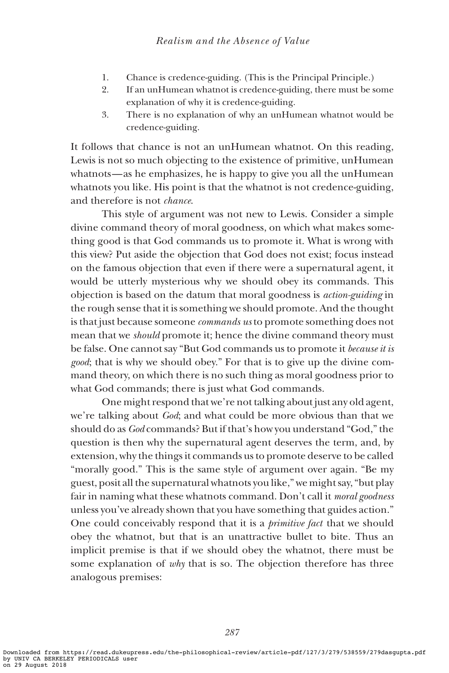- 1. Chance is credence-guiding. (This is the Principal Principle.)
- 2. If an unHumean whatnot is credence-guiding, there must be some explanation of why it is credence-guiding.
- 3. There is no explanation of why an unHumean whatnot would be credence-guiding.

It follows that chance is not an unHumean whatnot. On this reading, Lewis is not so much objecting to the existence of primitive, unHumean whatnots—as he emphasizes, he is happy to give you all the unHumean whatnots you like. His point is that the whatnot is not credence-guiding, and therefore is not chance.

This style of argument was not new to Lewis. Consider a simple divine command theory of moral goodness, on which what makes something good is that God commands us to promote it. What is wrong with this view? Put aside the objection that God does not exist; focus instead on the famous objection that even if there were a supernatural agent, it would be utterly mysterious why we should obey its commands. This objection is based on the datum that moral goodness is action-guiding in the rough sense that it is something we should promote. And the thought is that just because someone commands us to promote something does not mean that we should promote it; hence the divine command theory must be false. One cannot say "But God commands us to promote it because it is good; that is why we should obey." For that is to give up the divine command theory, on which there is no such thing as moral goodness prior to what God commands; there is just what God commands.

One might respond that we're not talking about just any old agent, we're talking about God; and what could be more obvious than that we should do as God commands? But if that's how you understand "God," the question is then why the supernatural agent deserves the term, and, by extension, why the things it commands us to promote deserve to be called "morally good." This is the same style of argument over again. "Be my guest, posit all the supernatural whatnots you like," we might say, "but play fair in naming what these whatnots command. Don't call it moral goodness unless you've already shown that you have something that guides action." One could conceivably respond that it is a *primitive fact* that we should obey the whatnot, but that is an unattractive bullet to bite. Thus an implicit premise is that if we should obey the whatnot, there must be some explanation of why that is so. The objection therefore has three analogous premises: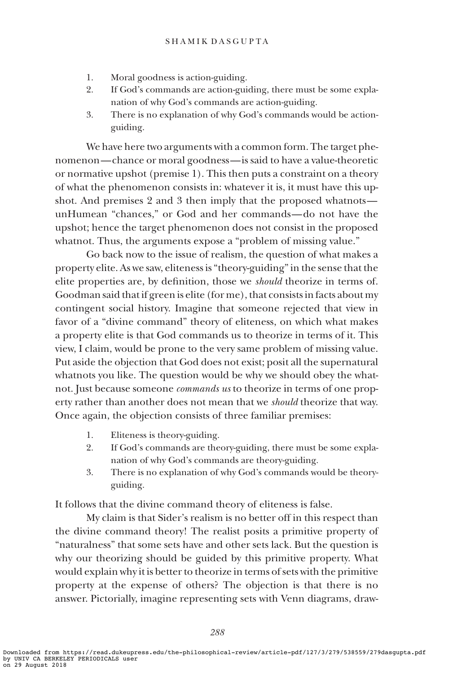- 1. Moral goodness is action-guiding.
- 2. If God's commands are action-guiding, there must be some explanation of why God's commands are action-guiding.
- 3. There is no explanation of why God's commands would be actionguiding.

We have here two arguments with a common form. The target phenomenon—chance or moral goodness—is said to have a value-theoretic or normative upshot (premise 1). This then puts a constraint on a theory of what the phenomenon consists in: whatever it is, it must have this upshot. And premises 2 and 3 then imply that the proposed whatnots unHumean "chances," or God and her commands—do not have the upshot; hence the target phenomenon does not consist in the proposed whatnot. Thus, the arguments expose a "problem of missing value."

Go back now to the issue of realism, the question of what makes a property elite. As we saw, eliteness is "theory-guiding" in the sense that the elite properties are, by definition, those we should theorize in terms of. Goodman said that if green is elite (for me), that consists in facts about my contingent social history. Imagine that someone rejected that view in favor of a "divine command" theory of eliteness, on which what makes a property elite is that God commands us to theorize in terms of it. This view, I claim, would be prone to the very same problem of missing value. Put aside the objection that God does not exist; posit all the supernatural whatnots you like. The question would be why we should obey the whatnot. Just because someone *commands us* to theorize in terms of one property rather than another does not mean that we should theorize that way. Once again, the objection consists of three familiar premises:

- 1. Eliteness is theory-guiding.
- 2. If God's commands are theory-guiding, there must be some explanation of why God's commands are theory-guiding.
- 3. There is no explanation of why God's commands would be theoryguiding.

It follows that the divine command theory of eliteness is false.

My claim is that Sider's realism is no better off in this respect than the divine command theory! The realist posits a primitive property of "naturalness" that some sets have and other sets lack. But the question is why our theorizing should be guided by this primitive property. What would explain why it is better to theorize in terms of sets with the primitive property at the expense of others? The objection is that there is no answer. Pictorially, imagine representing sets with Venn diagrams, draw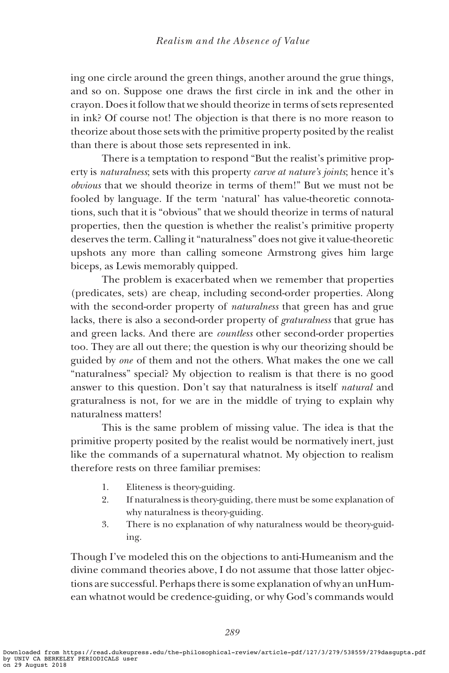ing one circle around the green things, another around the grue things, and so on. Suppose one draws the first circle in ink and the other in crayon. Does it follow that we should theorize in terms of sets represented in ink? Of course not! The objection is that there is no more reason to theorize about those sets with the primitive property posited by the realist than there is about those sets represented in ink.

There is a temptation to respond "But the realist's primitive property is naturalness; sets with this property carve at nature's joints; hence it's obvious that we should theorize in terms of them!" But we must not be fooled by language. If the term 'natural' has value-theoretic connotations, such that it is "obvious" that we should theorize in terms of natural properties, then the question is whether the realist's primitive property deserves the term. Calling it "naturalness" does not give it value-theoretic upshots any more than calling someone Armstrong gives him large biceps, as Lewis memorably quipped.

The problem is exacerbated when we remember that properties (predicates, sets) are cheap, including second-order properties. Along with the second-order property of *naturalness* that green has and grue lacks, there is also a second-order property of graturalness that grue has and green lacks. And there are countless other second-order properties too. They are all out there; the question is why our theorizing should be guided by one of them and not the others. What makes the one we call "naturalness" special? My objection to realism is that there is no good answer to this question. Don't say that naturalness is itself natural and graturalness is not, for we are in the middle of trying to explain why naturalness matters!

This is the same problem of missing value. The idea is that the primitive property posited by the realist would be normatively inert, just like the commands of a supernatural whatnot. My objection to realism therefore rests on three familiar premises:

- 1. Eliteness is theory-guiding.
- 2. If naturalness is theory-guiding, there must be some explanation of why naturalness is theory-guiding.
- 3. There is no explanation of why naturalness would be theory-guiding.

Though I've modeled this on the objections to anti-Humeanism and the divine command theories above, I do not assume that those latter objections are successful. Perhaps there is some explanation of why an unHumean whatnot would be credence-guiding, or why God's commands would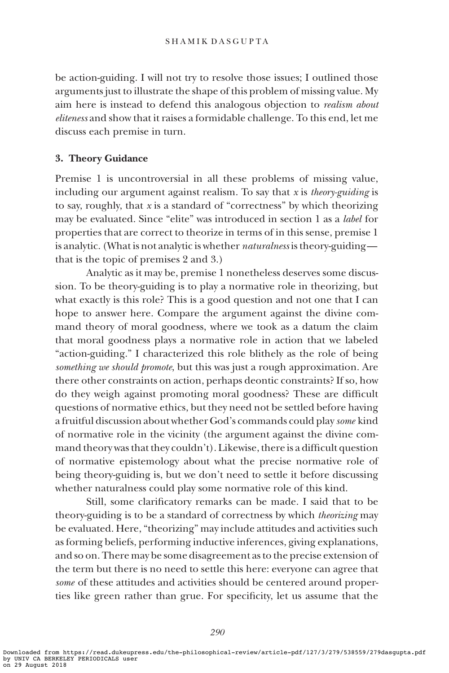be action-guiding. I will not try to resolve those issues; I outlined those arguments just to illustrate the shape of this problem of missing value. My aim here is instead to defend this analogous objection to *realism about* eliteness and show that it raises a formidable challenge. To this end, let me discuss each premise in turn.

# 3. Theory Guidance

Premise 1 is uncontroversial in all these problems of missing value, including our argument against realism. To say that  $x$  is *theory-guiding* is to say, roughly, that  $x$  is a standard of "correctness" by which theorizing may be evaluated. Since "elite" was introduced in section 1 as a label for properties that are correct to theorize in terms of in this sense, premise 1 is analytic. (What is not analytic is whether *naturalness* is theory-guiding that is the topic of premises 2 and 3.)

Analytic as it may be, premise 1 nonetheless deserves some discussion. To be theory-guiding is to play a normative role in theorizing, but what exactly is this role? This is a good question and not one that I can hope to answer here. Compare the argument against the divine command theory of moral goodness, where we took as a datum the claim that moral goodness plays a normative role in action that we labeled "action-guiding." I characterized this role blithely as the role of being something we should promote, but this was just a rough approximation. Are there other constraints on action, perhaps deontic constraints? If so, how do they weigh against promoting moral goodness? These are difficult questions of normative ethics, but they need not be settled before having a fruitful discussion about whether God's commands could play some kind of normative role in the vicinity (the argument against the divine command theory was that they couldn't). Likewise, there is a difficult question of normative epistemology about what the precise normative role of being theory-guiding is, but we don't need to settle it before discussing whether naturalness could play some normative role of this kind.

Still, some clarificatory remarks can be made. I said that to be theory-guiding is to be a standard of correctness by which theorizing may be evaluated. Here, "theorizing" may include attitudes and activities such as forming beliefs, performing inductive inferences, giving explanations, and so on. There may be some disagreement as to the precise extension of the term but there is no need to settle this here: everyone can agree that some of these attitudes and activities should be centered around properties like green rather than grue. For specificity, let us assume that the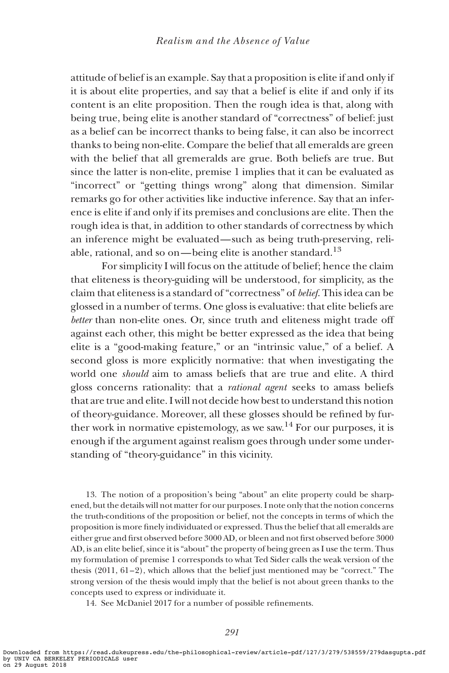attitude of belief is an example. Say that a proposition is elite if and only if it is about elite properties, and say that a belief is elite if and only if its content is an elite proposition. Then the rough idea is that, along with being true, being elite is another standard of "correctness" of belief: just as a belief can be incorrect thanks to being false, it can also be incorrect thanks to being non-elite. Compare the belief that all emeralds are green with the belief that all gremeralds are grue. Both beliefs are true. But since the latter is non-elite, premise 1 implies that it can be evaluated as "incorrect" or "getting things wrong" along that dimension. Similar remarks go for other activities like inductive inference. Say that an inference is elite if and only if its premises and conclusions are elite. Then the rough idea is that, in addition to other standards of correctness by which an inference might be evaluated—such as being truth-preserving, reliable, rational, and so on—being elite is another standard.<sup>13</sup>

For simplicity I will focus on the attitude of belief; hence the claim that eliteness is theory-guiding will be understood, for simplicity, as the claim that eliteness is a standard of "correctness" of belief. This idea can be glossed in a number of terms. One gloss is evaluative: that elite beliefs are better than non-elite ones. Or, since truth and eliteness might trade off against each other, this might be better expressed as the idea that being elite is a "good-making feature," or an "intrinsic value," of a belief. A second gloss is more explicitly normative: that when investigating the world one should aim to amass beliefs that are true and elite. A third gloss concerns rationality: that a rational agent seeks to amass beliefs that are true and elite. I will not decide how best to understand this notion of theory-guidance. Moreover, all these glosses should be refined by further work in normative epistemology, as we saw.<sup>14</sup> For our purposes, it is enough if the argument against realism goes through under some understanding of "theory-guidance" in this vicinity.

13. The notion of a proposition's being "about" an elite property could be sharpened, but the details will not matter for our purposes. I note only that the notion concerns the truth-conditions of the proposition or belief, not the concepts in terms of which the proposition is more finely individuated or expressed. Thus the belief that all emeralds are either grue and first observed before 3000 AD, or bleen and not first observed before 3000 AD, is an elite belief, since it is "about" the property of being green as I use the term. Thus my formulation of premise 1 corresponds to what Ted Sider calls the weak version of the thesis (2011, 61–2), which allows that the belief just mentioned may be "correct." The strong version of the thesis would imply that the belief is not about green thanks to the concepts used to express or individuate it.

14. See McDaniel 2017 for a number of possible refinements.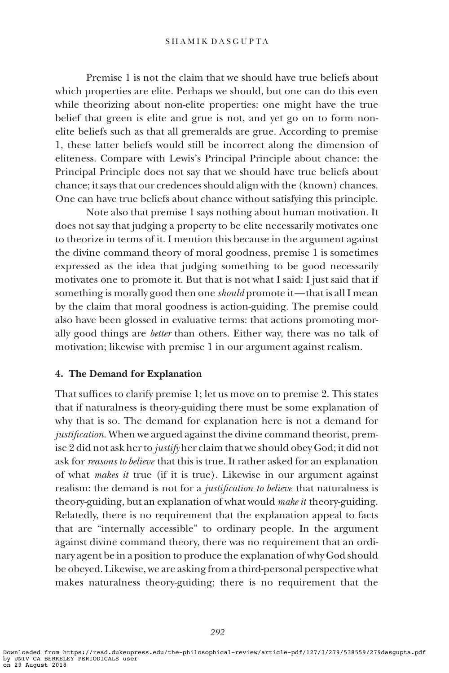#### SHAMIK DASGUPTA

Premise 1 is not the claim that we should have true beliefs about which properties are elite. Perhaps we should, but one can do this even while theorizing about non-elite properties: one might have the true belief that green is elite and grue is not, and yet go on to form nonelite beliefs such as that all gremeralds are grue. According to premise 1, these latter beliefs would still be incorrect along the dimension of eliteness. Compare with Lewis's Principal Principle about chance: the Principal Principle does not say that we should have true beliefs about chance; it says that our credences should align with the (known) chances. One can have true beliefs about chance without satisfying this principle.

Note also that premise 1 says nothing about human motivation. It does not say that judging a property to be elite necessarily motivates one to theorize in terms of it. I mention this because in the argument against the divine command theory of moral goodness, premise 1 is sometimes expressed as the idea that judging something to be good necessarily motivates one to promote it. But that is not what I said: I just said that if something is morally good then one *should* promote it—that is all I mean by the claim that moral goodness is action-guiding. The premise could also have been glossed in evaluative terms: that actions promoting morally good things are better than others. Either way, there was no talk of motivation; likewise with premise 1 in our argument against realism.

#### 4. The Demand for Explanation

That suffices to clarify premise 1; let us move on to premise 2. This states that if naturalness is theory-guiding there must be some explanation of why that is so. The demand for explanation here is not a demand for justification. When we argued against the divine command theorist, premise 2 did not ask her to justify her claim that we should obey God; it did not ask for reasons to believe that this is true. It rather asked for an explanation of what makes it true (if it is true). Likewise in our argument against realism: the demand is not for a *justification to believe* that naturalness is theory-guiding, but an explanation of what would *make it* theory-guiding. Relatedly, there is no requirement that the explanation appeal to facts that are "internally accessible" to ordinary people. In the argument against divine command theory, there was no requirement that an ordinary agent be in a position to produce the explanation of why God should be obeyed. Likewise, we are asking from a third-personal perspective what makes naturalness theory-guiding; there is no requirement that the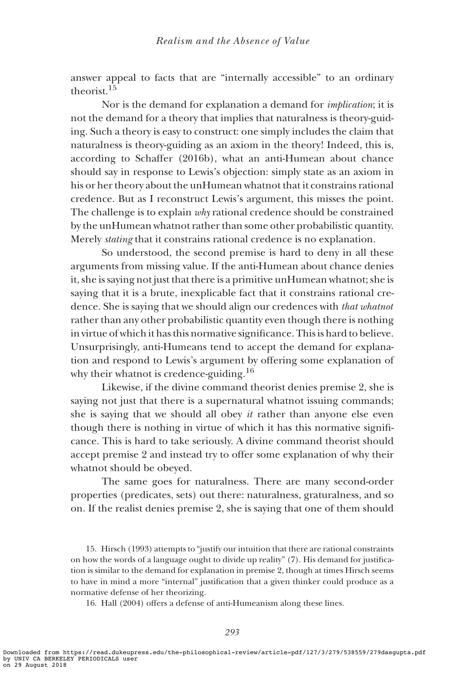answer appeal to facts that are "internally accessible" to an ordinary theorist<sup>15</sup>

Nor is the demand for explanation a demand for implication; it is not the demand for a theory that implies that naturalness is theory-guiding. Such a theory is easy to construct: one simply includes the claim that naturalness is theory-guiding as an axiom in the theory! Indeed, this is, according to Schaffer (2016b), what an anti-Humean about chance should say in response to Lewis's objection: simply state as an axiom in his or her theory about the unHumean whatnot that it constrains rational credence. But as I reconstruct Lewis's argument, this misses the point. The challenge is to explain why rational credence should be constrained by the unHumean whatnot rather than some other probabilistic quantity. Merely stating that it constrains rational credence is no explanation.

So understood, the second premise is hard to deny in all these arguments from missing value. If the anti-Humean about chance denies it, she is saying not just that there is a primitive unHumean whatnot; she is saying that it is a brute, inexplicable fact that it constrains rational credence. She is saying that we should align our credences with that whatnot rather than any other probabilistic quantity even though there is nothing in virtue of which it has this normative significance. This is hard to believe. Unsurprisingly, anti-Humeans tend to accept the demand for explanation and respond to Lewis's argument by offering some explanation of why their whatnot is credence-guiding.<sup>16</sup>

Likewise, if the divine command theorist denies premise 2, she is saying not just that there is a supernatural whatnot issuing commands; she is saying that we should all obey it rather than anyone else even though there is nothing in virtue of which it has this normative significance. This is hard to take seriously. A divine command theorist should accept premise 2 and instead try to offer some explanation of why their whatnot should be obeyed.

The same goes for naturalness. There are many second-order properties (predicates, sets) out there: naturalness, graturalness, and so on. If the realist denies premise 2, she is saying that one of them should

15. Hirsch (1993) attempts to "justify our intuition that there are rational constraints on how the words of a language ought to divide up reality" (7). His demand for justification is similar to the demand for explanation in premise 2, though at times Hirsch seems to have in mind a more "internal" justification that a given thinker could produce as a normative defense of her theorizing.

16. Hall (2004) offers a defense of anti-Humeanism along these lines.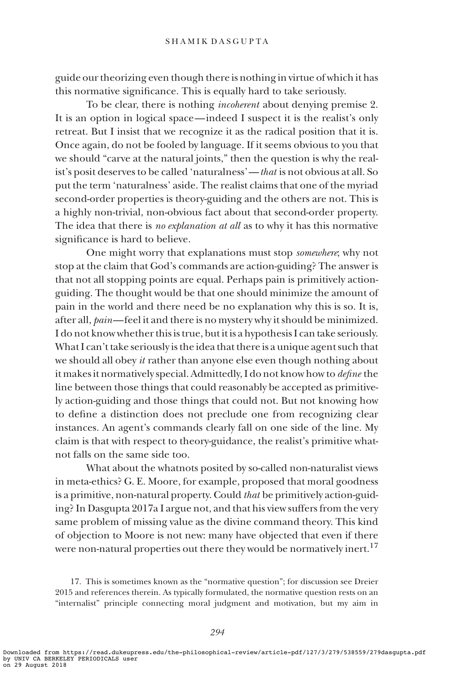guide our theorizing even though there is nothing in virtue of which it has this normative significance. This is equally hard to take seriously.

To be clear, there is nothing incoherent about denying premise 2. It is an option in logical space—indeed I suspect it is the realist's only retreat. But I insist that we recognize it as the radical position that it is. Once again, do not be fooled by language. If it seems obvious to you that we should "carve at the natural joints," then the question is why the realist's posit deserves to be called 'naturalness'—that is not obvious at all. So put the term 'naturalness' aside. The realist claims that one of the myriad second-order properties is theory-guiding and the others are not. This is a highly non-trivial, non-obvious fact about that second-order property. The idea that there is no explanation at all as to why it has this normative significance is hard to believe.

One might worry that explanations must stop somewhere; why not stop at the claim that God's commands are action-guiding? The answer is that not all stopping points are equal. Perhaps pain is primitively actionguiding. The thought would be that one should minimize the amount of pain in the world and there need be no explanation why this is so. It is, after all, pain—feel it and there is no mystery why it should be minimized. I do not know whether this is true, but it is a hypothesis I can take seriously. What I can't take seriously is the idea that there is a unique agent such that we should all obey it rather than anyone else even though nothing about it makes it normatively special. Admittedly, I do not know how to define the line between those things that could reasonably be accepted as primitively action-guiding and those things that could not. But not knowing how to define a distinction does not preclude one from recognizing clear instances. An agent's commands clearly fall on one side of the line. My claim is that with respect to theory-guidance, the realist's primitive whatnot falls on the same side too.

What about the whatnots posited by so-called non-naturalist views in meta-ethics? G. E. Moore, for example, proposed that moral goodness is a primitive, non-natural property. Could that be primitively action-guiding? In Dasgupta 2017a I argue not, and that his view suffers from the very same problem of missing value as the divine command theory. This kind of objection to Moore is not new: many have objected that even if there were non-natural properties out there they would be normatively inert.<sup>17</sup>

17. This is sometimes known as the "normative question"; for discussion see Dreier 2015 and references therein. As typically formulated, the normative question rests on an "internalist" principle connecting moral judgment and motivation, but my aim in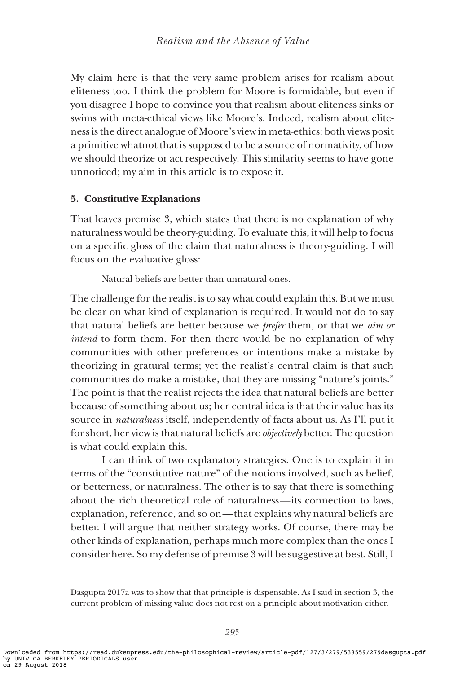My claim here is that the very same problem arises for realism about eliteness too. I think the problem for Moore is formidable, but even if you disagree I hope to convince you that realism about eliteness sinks or swims with meta-ethical views like Moore's. Indeed, realism about eliteness is the direct analogue of Moore's view in meta-ethics: both views posit a primitive whatnot that is supposed to be a source of normativity, of how we should theorize or act respectively. This similarity seems to have gone unnoticed; my aim in this article is to expose it.

# 5. Constitutive Explanations

That leaves premise 3, which states that there is no explanation of why naturalness would be theory-guiding. To evaluate this, it will help to focus on a specific gloss of the claim that naturalness is theory-guiding. I will focus on the evaluative gloss:

Natural beliefs are better than unnatural ones.

The challenge for the realist is to say what could explain this. But we must be clear on what kind of explanation is required. It would not do to say that natural beliefs are better because we *prefer* them, or that we *aim or* intend to form them. For then there would be no explanation of why communities with other preferences or intentions make a mistake by theorizing in gratural terms; yet the realist's central claim is that such communities do make a mistake, that they are missing "nature's joints." The point is that the realist rejects the idea that natural beliefs are better because of something about us; her central idea is that their value has its source in naturalness itself, independently of facts about us. As I'll put it for short, her view is that natural beliefs are objectively better. The question is what could explain this.

I can think of two explanatory strategies. One is to explain it in terms of the "constitutive nature" of the notions involved, such as belief, or betterness, or naturalness. The other is to say that there is something about the rich theoretical role of naturalness—its connection to laws, explanation, reference, and so on— that explains why natural beliefs are better. I will argue that neither strategy works. Of course, there may be other kinds of explanation, perhaps much more complex than the ones I consider here. So my defense of premise 3 will be suggestive at best. Still, I

Dasgupta 2017a was to show that that principle is dispensable. As I said in section 3, the current problem of missing value does not rest on a principle about motivation either.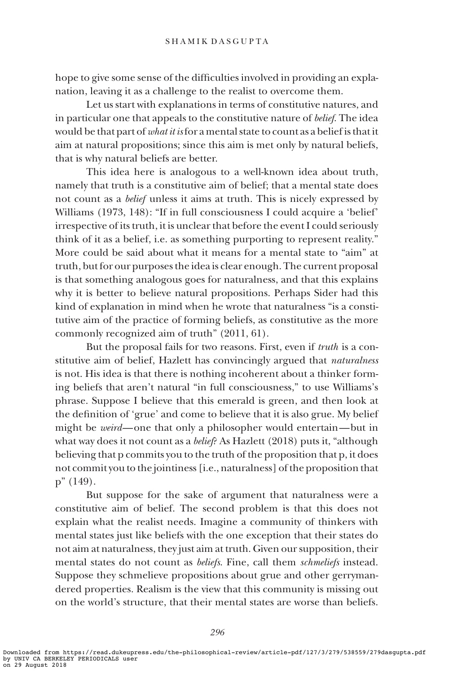hope to give some sense of the difficulties involved in providing an explanation, leaving it as a challenge to the realist to overcome them.

Let us start with explanations in terms of constitutive natures, and in particular one that appeals to the constitutive nature of belief. The idea would be that part of *what it is* for a mental state to count as a belief is that it aim at natural propositions; since this aim is met only by natural beliefs, that is why natural beliefs are better.

This idea here is analogous to a well-known idea about truth, namely that truth is a constitutive aim of belief; that a mental state does not count as a belief unless it aims at truth. This is nicely expressed by Williams (1973, 148): "If in full consciousness I could acquire a 'belief' irrespective of its truth, it is unclear that before the event I could seriously think of it as a belief, i.e. as something purporting to represent reality." More could be said about what it means for a mental state to "aim" at truth, but for our purposes the idea is clear enough. The current proposal is that something analogous goes for naturalness, and that this explains why it is better to believe natural propositions. Perhaps Sider had this kind of explanation in mind when he wrote that naturalness "is a constitutive aim of the practice of forming beliefs, as constitutive as the more commonly recognized aim of truth" (2011, 61).

But the proposal fails for two reasons. First, even if truth is a constitutive aim of belief, Hazlett has convincingly argued that *naturalness* is not. His idea is that there is nothing incoherent about a thinker forming beliefs that aren't natural "in full consciousness," to use Williams's phrase. Suppose I believe that this emerald is green, and then look at the definition of 'grue' and come to believe that it is also grue. My belief might be weird—one that only a philosopher would entertain—but in what way does it not count as a *belief*? As Hazlett (2018) puts it, "although believing that p commits you to the truth of the proposition that p, it does not commit you to the jointiness [i.e., naturalness] of the proposition that p" (149).

But suppose for the sake of argument that naturalness were a constitutive aim of belief. The second problem is that this does not explain what the realist needs. Imagine a community of thinkers with mental states just like beliefs with the one exception that their states do not aim at naturalness, they just aim at truth. Given our supposition, their mental states do not count as *beliefs*. Fine, call them *schmeliefs* instead. Suppose they schmelieve propositions about grue and other gerrymandered properties. Realism is the view that this community is missing out on the world's structure, that their mental states are worse than beliefs.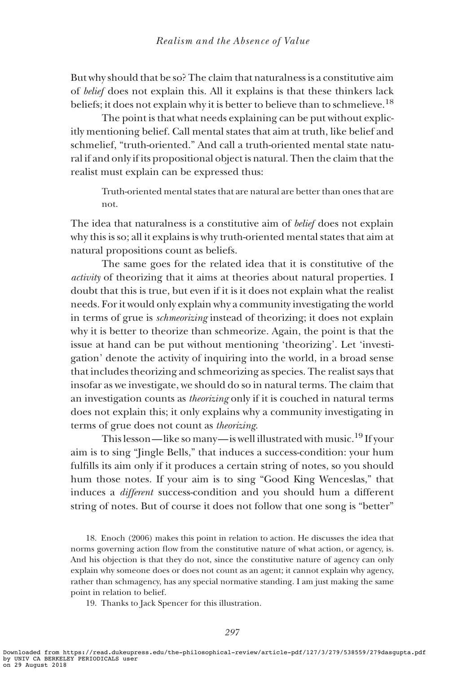But why should that be so? The claim that naturalness is a constitutive aim of belief does not explain this. All it explains is that these thinkers lack beliefs; it does not explain why it is better to believe than to schmelieve.<sup>18</sup>

The point is that what needs explaining can be put without explicitly mentioning belief. Call mental states that aim at truth, like belief and schmelief, "truth-oriented." And call a truth-oriented mental state natural if and only if its propositional object is natural. Then the claim that the realist must explain can be expressed thus:

Truth-oriented mental states that are natural are better than ones that are not.

The idea that naturalness is a constitutive aim of *belief* does not explain why this is so; all it explains is why truth-oriented mental states that aim at natural propositions count as beliefs.

The same goes for the related idea that it is constitutive of the activity of theorizing that it aims at theories about natural properties. I doubt that this is true, but even if it is it does not explain what the realist needs. For it would only explain why a community investigating the world in terms of grue is schmeorizing instead of theorizing; it does not explain why it is better to theorize than schmeorize. Again, the point is that the issue at hand can be put without mentioning 'theorizing'. Let 'investigation' denote the activity of inquiring into the world, in a broad sense that includes theorizing and schmeorizing as species. The realist says that insofar as we investigate, we should do so in natural terms. The claim that an investigation counts as theorizing only if it is couched in natural terms does not explain this; it only explains why a community investigating in terms of grue does not count as theorizing.

This lesson—like so many—is well illustrated with music.19 If your aim is to sing "Jingle Bells," that induces a success-condition: your hum fulfills its aim only if it produces a certain string of notes, so you should hum those notes. If your aim is to sing "Good King Wenceslas," that induces a different success-condition and you should hum a different string of notes. But of course it does not follow that one song is "better"

18. Enoch (2006) makes this point in relation to action. He discusses the idea that norms governing action flow from the constitutive nature of what action, or agency, is. And his objection is that they do not, since the constitutive nature of agency can only explain why someone does or does not count as an agent; it cannot explain why agency, rather than schmagency, has any special normative standing. I am just making the same point in relation to belief.

19. Thanks to Jack Spencer for this illustration.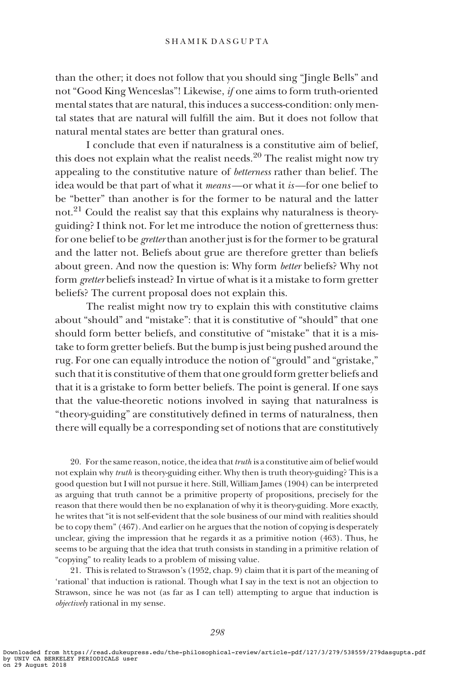than the other; it does not follow that you should sing "Jingle Bells" and not "Good King Wenceslas"! Likewise, if one aims to form truth-oriented mental states that are natural, this induces a success-condition: only mental states that are natural will fulfill the aim. But it does not follow that natural mental states are better than gratural ones.

I conclude that even if naturalness is a constitutive aim of belief, this does not explain what the realist needs.<sup>20</sup> The realist might now try appealing to the constitutive nature of betterness rather than belief. The idea would be that part of what it means—or what it is—for one belief to be "better" than another is for the former to be natural and the latter not.<sup>21</sup> Could the realist say that this explains why naturalness is theoryguiding? I think not. For let me introduce the notion of gretterness thus: for one belief to be *gretter* than another just is for the former to be gratural and the latter not. Beliefs about grue are therefore gretter than beliefs about green. And now the question is: Why form better beliefs? Why not form gretter beliefs instead? In virtue of what is it a mistake to form gretter beliefs? The current proposal does not explain this.

The realist might now try to explain this with constitutive claims about "should" and "mistake": that it is constitutive of "should" that one should form better beliefs, and constitutive of "mistake" that it is a mistake to form gretter beliefs. But the bump is just being pushed around the rug. For one can equally introduce the notion of "grould" and "gristake," such that it is constitutive of them that one grould form gretter beliefs and that it is a gristake to form better beliefs. The point is general. If one says that the value-theoretic notions involved in saying that naturalness is "theory-guiding" are constitutively defined in terms of naturalness, then there will equally be a corresponding set of notions that are constitutively

20. For the same reason, notice, the idea that  $truth$  is a constitutive aim of belief would not explain why *truth* is theory-guiding either. Why then is truth theory-guiding? This is a good question but I will not pursue it here. Still, William James (1904) can be interpreted as arguing that truth cannot be a primitive property of propositions, precisely for the reason that there would then be no explanation of why it is theory-guiding. More exactly, he writes that "it is not self-evident that the sole business of our mind with realities should be to copy them" (467). And earlier on he argues that the notion of copying is desperately unclear, giving the impression that he regards it as a primitive notion (463). Thus, he seems to be arguing that the idea that truth consists in standing in a primitive relation of "copying" to reality leads to a problem of missing value.

21. This is related to Strawson's (1952, chap. 9) claim that it is part of the meaning of 'rational' that induction is rational. Though what I say in the text is not an objection to Strawson, since he was not (as far as I can tell) attempting to argue that induction is objectively rational in my sense.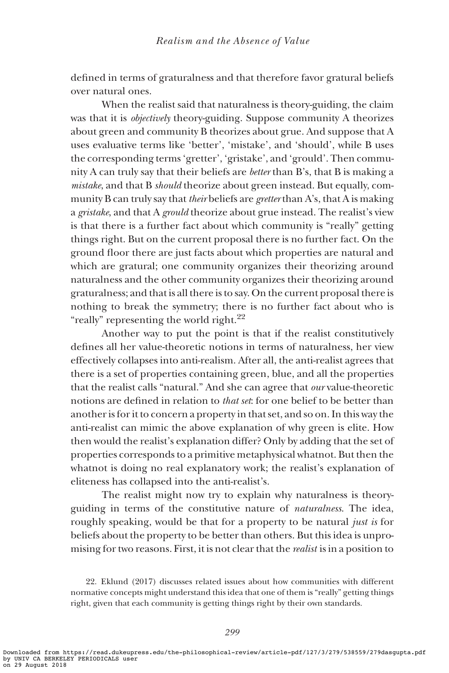defined in terms of graturalness and that therefore favor gratural beliefs over natural ones.

When the realist said that naturalness is theory-guiding, the claim was that it is objectively theory-guiding. Suppose community A theorizes about green and community B theorizes about grue. And suppose that A uses evaluative terms like 'better', 'mistake', and 'should', while B uses the corresponding terms 'gretter', 'gristake', and 'grould'. Then community A can truly say that their beliefs are better than B's, that B is making a mistake, and that B should theorize about green instead. But equally, community B can truly say that their beliefs are gretter than A's, that A is making a gristake, and that A grould theorize about grue instead. The realist's view is that there is a further fact about which community is "really" getting things right. But on the current proposal there is no further fact. On the ground floor there are just facts about which properties are natural and which are gratural; one community organizes their theorizing around naturalness and the other community organizes their theorizing around graturalness; and that is all there is to say. On the current proposal there is nothing to break the symmetry; there is no further fact about who is "really" representing the world right. $^{22}$ 

Another way to put the point is that if the realist constitutively defines all her value-theoretic notions in terms of naturalness, her view effectively collapses into anti-realism. After all, the anti-realist agrees that there is a set of properties containing green, blue, and all the properties that the realist calls "natural." And she can agree that our value-theoretic notions are defined in relation to that set: for one belief to be better than another is for it to concern a property in that set, and so on. In this way the anti-realist can mimic the above explanation of why green is elite. How then would the realist's explanation differ? Only by adding that the set of properties corresponds to a primitive metaphysical whatnot. But then the whatnot is doing no real explanatory work; the realist's explanation of eliteness has collapsed into the anti-realist's.

The realist might now try to explain why naturalness is theoryguiding in terms of the constitutive nature of naturalness. The idea, roughly speaking, would be that for a property to be natural just is for beliefs about the property to be better than others. But this idea is unpromising for two reasons. First, it is not clear that the realist is in a position to

<sup>22.</sup> Eklund (2017) discusses related issues about how communities with different normative concepts might understand this idea that one of them is "really" getting things right, given that each community is getting things right by their own standards.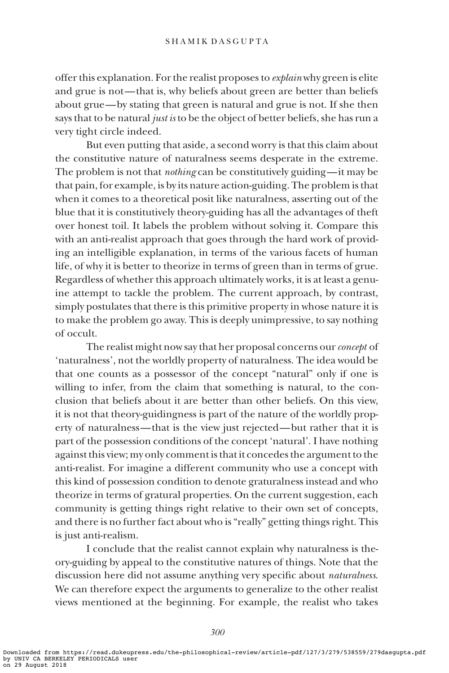offer this explanation. For the realist proposes to explain why green is elite and grue is not— that is, why beliefs about green are better than beliefs about grue—by stating that green is natural and grue is not. If she then says that to be natural just is to be the object of better beliefs, she has run a very tight circle indeed.

But even putting that aside, a second worry is that this claim about the constitutive nature of naturalness seems desperate in the extreme. The problem is not that nothing can be constitutively guiding—it may be that pain, for example, is by its nature action-guiding. The problem is that when it comes to a theoretical posit like naturalness, asserting out of the blue that it is constitutively theory-guiding has all the advantages of theft over honest toil. It labels the problem without solving it. Compare this with an anti-realist approach that goes through the hard work of providing an intelligible explanation, in terms of the various facets of human life, of why it is better to theorize in terms of green than in terms of grue. Regardless of whether this approach ultimately works, it is at least a genuine attempt to tackle the problem. The current approach, by contrast, simply postulates that there is this primitive property in whose nature it is to make the problem go away. This is deeply unimpressive, to say nothing of occult.

The realist might now say that her proposal concerns our concept of 'naturalness', not the worldly property of naturalness. The idea would be that one counts as a possessor of the concept "natural" only if one is willing to infer, from the claim that something is natural, to the conclusion that beliefs about it are better than other beliefs. On this view, it is not that theory-guidingness is part of the nature of the worldly property of naturalness— that is the view just rejected—but rather that it is part of the possession conditions of the concept 'natural'. I have nothing against this view; my only comment is that it concedes the argument to the anti-realist. For imagine a different community who use a concept with this kind of possession condition to denote graturalness instead and who theorize in terms of gratural properties. On the current suggestion, each community is getting things right relative to their own set of concepts, and there is no further fact about who is "really" getting things right. This is just anti-realism.

I conclude that the realist cannot explain why naturalness is theory-guiding by appeal to the constitutive natures of things. Note that the discussion here did not assume anything very specific about naturalness. We can therefore expect the arguments to generalize to the other realist views mentioned at the beginning. For example, the realist who takes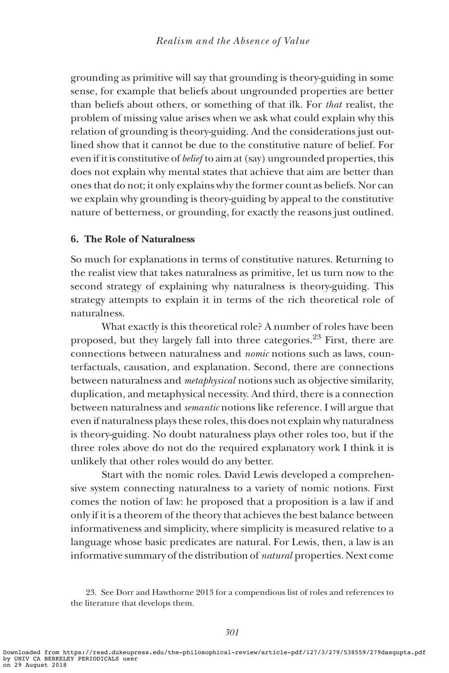grounding as primitive will say that grounding is theory-guiding in some sense, for example that beliefs about ungrounded properties are better than beliefs about others, or something of that ilk. For that realist, the problem of missing value arises when we ask what could explain why this relation of grounding is theory-guiding. And the considerations just outlined show that it cannot be due to the constitutive nature of belief. For even if it is constitutive of belief to aim at (say) ungrounded properties, this does not explain why mental states that achieve that aim are better than ones that do not; it only explains why the former count as beliefs. Nor can we explain why grounding is theory-guiding by appeal to the constitutive nature of betterness, or grounding, for exactly the reasons just outlined.

# 6. The Role of Naturalness

So much for explanations in terms of constitutive natures. Returning to the realist view that takes naturalness as primitive, let us turn now to the second strategy of explaining why naturalness is theory-guiding. This strategy attempts to explain it in terms of the rich theoretical role of naturalness.

What exactly is this theoretical role? A number of roles have been proposed, but they largely fall into three categories.23 First, there are connections between naturalness and nomic notions such as laws, counterfactuals, causation, and explanation. Second, there are connections between naturalness and metaphysical notions such as objective similarity, duplication, and metaphysical necessity. And third, there is a connection between naturalness and semantic notions like reference. I will argue that even if naturalness plays these roles, this does not explain why naturalness is theory-guiding. No doubt naturalness plays other roles too, but if the three roles above do not do the required explanatory work I think it is unlikely that other roles would do any better.

Start with the nomic roles. David Lewis developed a comprehensive system connecting naturalness to a variety of nomic notions. First comes the notion of law: he proposed that a proposition is a law if and only if it is a theorem of the theory that achieves the best balance between informativeness and simplicity, where simplicity is measured relative to a language whose basic predicates are natural. For Lewis, then, a law is an informative summary of the distribution of natural properties. Next come

<sup>23.</sup> See Dorr and Hawthorne 2013 for a compendious list of roles and references to the literature that develops them.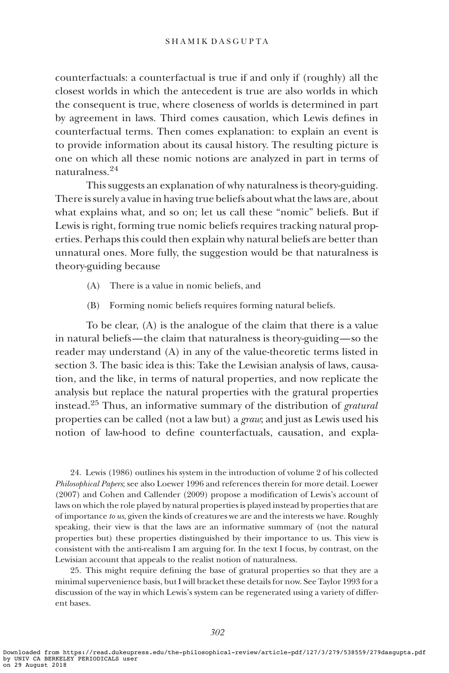counterfactuals: a counterfactual is true if and only if (roughly) all the closest worlds in which the antecedent is true are also worlds in which the consequent is true, where closeness of worlds is determined in part by agreement in laws. Third comes causation, which Lewis defines in counterfactual terms. Then comes explanation: to explain an event is to provide information about its causal history. The resulting picture is one on which all these nomic notions are analyzed in part in terms of naturalness.<sup>24</sup>

This suggests an explanation of why naturalness is theory-guiding. There is surely a value in having true beliefs about what the laws are, about what explains what, and so on; let us call these "nomic" beliefs. But if Lewis is right, forming true nomic beliefs requires tracking natural properties. Perhaps this could then explain why natural beliefs are better than unnatural ones. More fully, the suggestion would be that naturalness is theory-guiding because

- (A) There is a value in nomic beliefs, and
- (B) Forming nomic beliefs requires forming natural beliefs.

To be clear, (A) is the analogue of the claim that there is a value in natural beliefs— the claim that naturalness is theory-guiding—so the reader may understand (A) in any of the value-theoretic terms listed in section 3. The basic idea is this: Take the Lewisian analysis of laws, causation, and the like, in terms of natural properties, and now replicate the analysis but replace the natural properties with the gratural properties instead.<sup>25</sup> Thus, an informative summary of the distribution of *gratural* properties can be called (not a law but) a graw; and just as Lewis used his notion of law-hood to define counterfactuals, causation, and expla-

24. Lewis (1986) outlines his system in the introduction of volume 2 of his collected Philosophical Papers; see also Loewer 1996 and references therein for more detail. Loewer (2007) and Cohen and Callender (2009) propose a modification of Lewis's account of laws on which the role played by natural properties is played instead by properties that are of importance to us, given the kinds of creatures we are and the interests we have. Roughly speaking, their view is that the laws are an informative summary of (not the natural properties but) these properties distinguished by their importance to us. This view is consistent with the anti-realism I am arguing for. In the text I focus, by contrast, on the Lewisian account that appeals to the realist notion of naturalness.

25. This might require defining the base of gratural properties so that they are a minimal supervenience basis, but I will bracket these details for now. See Taylor 1993 for a discussion of the way in which Lewis's system can be regenerated using a variety of different bases.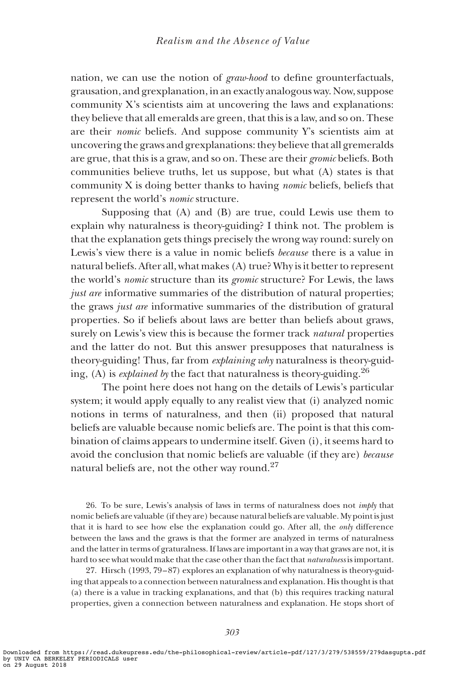nation, we can use the notion of graw-hood to define grounterfactuals, grausation, and grexplanation, in an exactly analogous way. Now, suppose community X's scientists aim at uncovering the laws and explanations: they believe that all emeralds are green, that this is a law, and so on. These are their nomic beliefs. And suppose community Y's scientists aim at uncovering the graws and grexplanations: they believe that all gremeralds are grue, that this is a graw, and so on. These are their gromic beliefs. Both communities believe truths, let us suppose, but what (A) states is that community X is doing better thanks to having nomic beliefs, beliefs that represent the world's *nomic* structure.

Supposing that (A) and (B) are true, could Lewis use them to explain why naturalness is theory-guiding? I think not. The problem is that the explanation gets things precisely the wrong way round: surely on Lewis's view there is a value in nomic beliefs because there is a value in natural beliefs. After all, what makes (A) true? Why is it better to represent the world's nomic structure than its gromic structure? For Lewis, the laws just are informative summaries of the distribution of natural properties; the graws just are informative summaries of the distribution of gratural properties. So if beliefs about laws are better than beliefs about graws, surely on Lewis's view this is because the former track natural properties and the latter do not. But this answer presupposes that naturalness is theory-guiding! Thus, far from explaining why naturalness is theory-guiding, (A) is *explained by* the fact that naturalness is theory-guiding.<sup>26</sup>

The point here does not hang on the details of Lewis's particular system; it would apply equally to any realist view that (i) analyzed nomic notions in terms of naturalness, and then (ii) proposed that natural beliefs are valuable because nomic beliefs are. The point is that this combination of claims appears to undermine itself. Given (i), it seems hard to avoid the conclusion that nomic beliefs are valuable (if they are) because natural beliefs are, not the other way round.<sup>27</sup>

26. To be sure, Lewis's analysis of laws in terms of naturalness does not imply that nomic beliefs are valuable (if they are) because natural beliefs are valuable. My point is just that it is hard to see how else the explanation could go. After all, the only difference between the laws and the graws is that the former are analyzed in terms of naturalness and the latter in terms of graturalness. If laws are important in a way that graws are not, it is hard to see what would make that the case other than the fact that *naturalness* is important.

27. Hirsch (1993, 79 –87) explores an explanation of why naturalness is theory-guiding that appeals to a connection between naturalness and explanation. His thought is that (a) there is a value in tracking explanations, and that (b) this requires tracking natural properties, given a connection between naturalness and explanation. He stops short of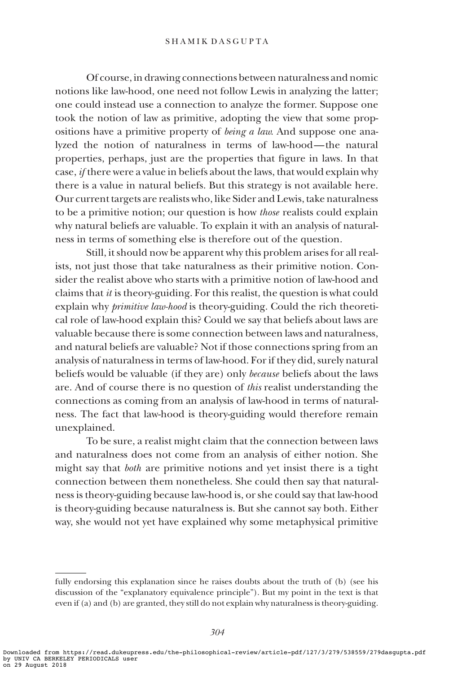#### SHAMIK DASGUPTA

Of course, in drawing connections between naturalness and nomic notions like law-hood, one need not follow Lewis in analyzing the latter; one could instead use a connection to analyze the former. Suppose one took the notion of law as primitive, adopting the view that some propositions have a primitive property of being a law. And suppose one analyzed the notion of naturalness in terms of law-hood— the natural properties, perhaps, just are the properties that figure in laws. In that case, if there were a value in beliefs about the laws, that would explain why there is a value in natural beliefs. But this strategy is not available here. Our current targets are realists who, like Sider and Lewis, take naturalness to be a primitive notion; our question is how those realists could explain why natural beliefs are valuable. To explain it with an analysis of naturalness in terms of something else is therefore out of the question.

Still, it should now be apparent why this problem arises for all realists, not just those that take naturalness as their primitive notion. Consider the realist above who starts with a primitive notion of law-hood and claims that  $it$  is theory-guiding. For this realist, the question is what could explain why *primitive law-hood* is theory-guiding. Could the rich theoretical role of law-hood explain this? Could we say that beliefs about laws are valuable because there is some connection between laws and naturalness, and natural beliefs are valuable? Not if those connections spring from an analysis of naturalness in terms of law-hood. For if they did, surely natural beliefs would be valuable (if they are) only because beliefs about the laws are. And of course there is no question of this realist understanding the connections as coming from an analysis of law-hood in terms of naturalness. The fact that law-hood is theory-guiding would therefore remain unexplained.

To be sure, a realist might claim that the connection between laws and naturalness does not come from an analysis of either notion. She might say that *both* are primitive notions and yet insist there is a tight connection between them nonetheless. She could then say that naturalness is theory-guiding because law-hood is, or she could say that law-hood is theory-guiding because naturalness is. But she cannot say both. Either way, she would not yet have explained why some metaphysical primitive

fully endorsing this explanation since he raises doubts about the truth of (b) (see his discussion of the "explanatory equivalence principle"). But my point in the text is that even if (a) and (b) are granted, they still do not explain why naturalness is theory-guiding.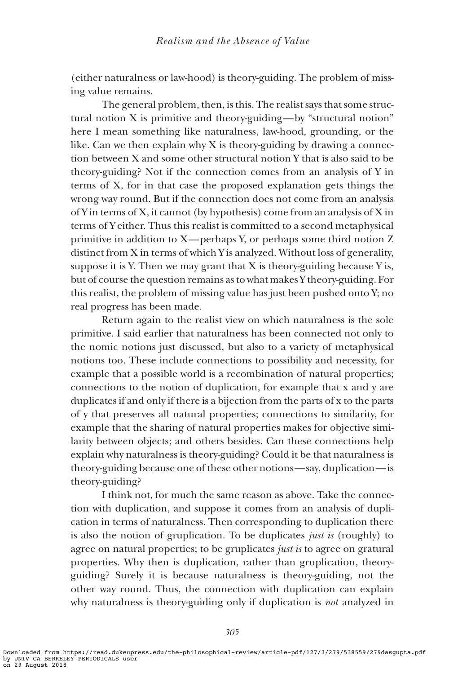(either naturalness or law-hood) is theory-guiding. The problem of missing value remains.

The general problem, then, is this. The realist says that some structural notion X is primitive and theory-guiding—by "structural notion" here I mean something like naturalness, law-hood, grounding, or the like. Can we then explain why  $X$  is theory-guiding by drawing a connection between X and some other structural notion Y that is also said to be theory-guiding? Not if the connection comes from an analysis of Y in terms of X, for in that case the proposed explanation gets things the wrong way round. But if the connection does not come from an analysis of Y in terms of X, it cannot (by hypothesis) come from an analysis of X in terms of Y either. Thus this realist is committed to a second metaphysical primitive in addition to X—perhaps Y, or perhaps some third notion Z distinct from X in terms of which Y is analyzed. Without loss of generality, suppose it is Y. Then we may grant that X is theory-guiding because Y is, but of course the question remains as to what makes Y theory-guiding. For this realist, the problem of missing value has just been pushed onto Y; no real progress has been made.

Return again to the realist view on which naturalness is the sole primitive. I said earlier that naturalness has been connected not only to the nomic notions just discussed, but also to a variety of metaphysical notions too. These include connections to possibility and necessity, for example that a possible world is a recombination of natural properties; connections to the notion of duplication, for example that x and y are duplicates if and only if there is a bijection from the parts of x to the parts of y that preserves all natural properties; connections to similarity, for example that the sharing of natural properties makes for objective similarity between objects; and others besides. Can these connections help explain why naturalness is theory-guiding? Could it be that naturalness is theory-guiding because one of these other notions—say, duplication—is theory-guiding?

I think not, for much the same reason as above. Take the connection with duplication, and suppose it comes from an analysis of duplication in terms of naturalness. Then corresponding to duplication there is also the notion of gruplication. To be duplicates just is (roughly) to agree on natural properties; to be gruplicates *just is* to agree on gratural properties. Why then is duplication, rather than gruplication, theoryguiding? Surely it is because naturalness is theory-guiding, not the other way round. Thus, the connection with duplication can explain why naturalness is theory-guiding only if duplication is *not* analyzed in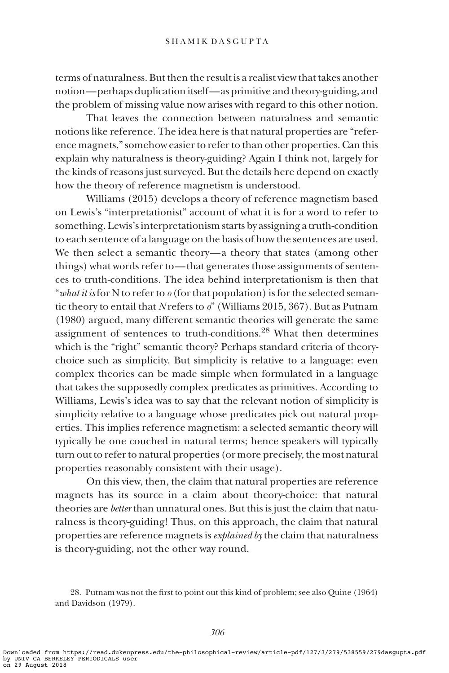terms of naturalness. But then the result is a realist view that takes another notion—perhaps duplication itself—as primitive and theory-guiding, and the problem of missing value now arises with regard to this other notion.

That leaves the connection between naturalness and semantic notions like reference. The idea here is that natural properties are "reference magnets," somehow easier to refer to than other properties. Can this explain why naturalness is theory-guiding? Again I think not, largely for the kinds of reasons just surveyed. But the details here depend on exactly how the theory of reference magnetism is understood.

Williams (2015) develops a theory of reference magnetism based on Lewis's "interpretationist" account of what it is for a word to refer to something. Lewis's interpretationism starts by assigning a truth-condition to each sentence of a language on the basis of how the sentences are used. We then select a semantic theory—a theory that states (among other things) what words refer to— that generates those assignments of sentences to truth-conditions. The idea behind interpretationism is then that "what it is for N to refer to  $\varrho$  (for that population) is for the selected semantic theory to entail that N refers to  $o$ " (Williams 2015, 367). But as Putnam (1980) argued, many different semantic theories will generate the same assignment of sentences to truth-conditions.<sup>28</sup> What then determines which is the "right" semantic theory? Perhaps standard criteria of theorychoice such as simplicity. But simplicity is relative to a language: even complex theories can be made simple when formulated in a language that takes the supposedly complex predicates as primitives. According to Williams, Lewis's idea was to say that the relevant notion of simplicity is simplicity relative to a language whose predicates pick out natural properties. This implies reference magnetism: a selected semantic theory will typically be one couched in natural terms; hence speakers will typically turn out to refer to natural properties (or more precisely, the most natural properties reasonably consistent with their usage).

On this view, then, the claim that natural properties are reference magnets has its source in a claim about theory-choice: that natural theories are better than unnatural ones. But this is just the claim that naturalness is theory-guiding! Thus, on this approach, the claim that natural properties are reference magnets is *explained by* the claim that naturalness is theory-guiding, not the other way round.

<sup>28.</sup> Putnam was not the first to point out this kind of problem; see also Quine (1964) and Davidson (1979).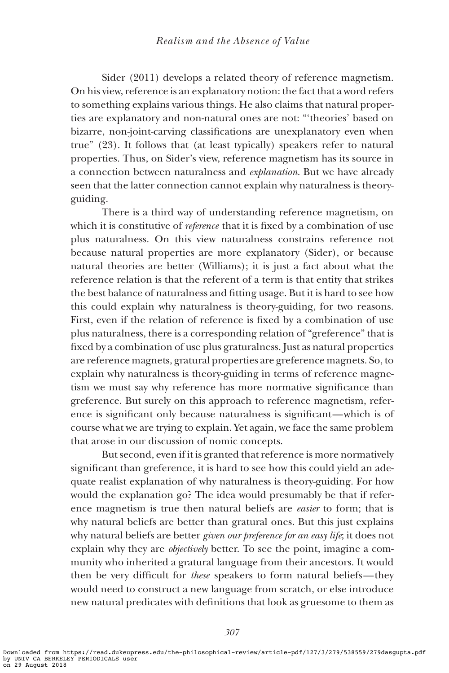Sider (2011) develops a related theory of reference magnetism. On his view, reference is an explanatory notion: the fact that a word refers to something explains various things. He also claims that natural properties are explanatory and non-natural ones are not: "'theories' based on bizarre, non-joint-carving classifications are unexplanatory even when true" (23). It follows that (at least typically) speakers refer to natural properties. Thus, on Sider's view, reference magnetism has its source in a connection between naturalness and explanation. But we have already seen that the latter connection cannot explain why naturalness is theoryguiding.

There is a third way of understanding reference magnetism, on which it is constitutive of *reference* that it is fixed by a combination of use plus naturalness. On this view naturalness constrains reference not because natural properties are more explanatory (Sider), or because natural theories are better (Williams); it is just a fact about what the reference relation is that the referent of a term is that entity that strikes the best balance of naturalness and fitting usage. But it is hard to see how this could explain why naturalness is theory-guiding, for two reasons. First, even if the relation of reference is fixed by a combination of use plus naturalness, there is a corresponding relation of "greference" that is fixed by a combination of use plus graturalness. Just as natural properties are reference magnets, gratural properties are greference magnets. So, to explain why naturalness is theory-guiding in terms of reference magnetism we must say why reference has more normative significance than greference. But surely on this approach to reference magnetism, reference is significant only because naturalness is significant—which is of course what we are trying to explain. Yet again, we face the same problem that arose in our discussion of nomic concepts.

But second, even if it is granted that reference is more normatively significant than greference, it is hard to see how this could yield an adequate realist explanation of why naturalness is theory-guiding. For how would the explanation go? The idea would presumably be that if reference magnetism is true then natural beliefs are easier to form; that is why natural beliefs are better than gratural ones. But this just explains why natural beliefs are better given our preference for an easy life; it does not explain why they are objectively better. To see the point, imagine a community who inherited a gratural language from their ancestors. It would then be very difficult for these speakers to form natural beliefs—they would need to construct a new language from scratch, or else introduce new natural predicates with definitions that look as gruesome to them as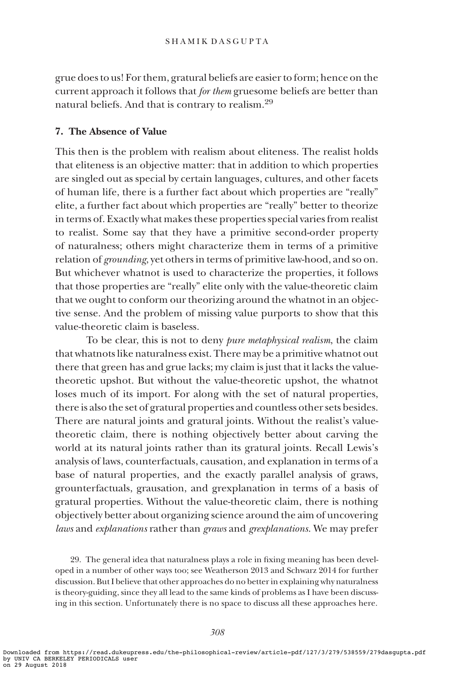grue does to us! For them, gratural beliefs are easier to form; hence on the current approach it follows that *for them* gruesome beliefs are better than natural beliefs. And that is contrary to realism.<sup>29</sup>

## 7. The Absence of Value

This then is the problem with realism about eliteness. The realist holds that eliteness is an objective matter: that in addition to which properties are singled out as special by certain languages, cultures, and other facets of human life, there is a further fact about which properties are "really" elite, a further fact about which properties are "really" better to theorize in terms of. Exactly what makes these properties special varies from realist to realist. Some say that they have a primitive second-order property of naturalness; others might characterize them in terms of a primitive relation of *grounding*, yet others in terms of primitive law-hood, and so on. But whichever whatnot is used to characterize the properties, it follows that those properties are "really" elite only with the value-theoretic claim that we ought to conform our theorizing around the whatnot in an objective sense. And the problem of missing value purports to show that this value-theoretic claim is baseless.

To be clear, this is not to deny pure metaphysical realism, the claim that whatnots like naturalness exist. There may be a primitive whatnot out there that green has and grue lacks; my claim is just that it lacks the valuetheoretic upshot. But without the value-theoretic upshot, the whatnot loses much of its import. For along with the set of natural properties, there is also the set of gratural properties and countless other sets besides. There are natural joints and gratural joints. Without the realist's valuetheoretic claim, there is nothing objectively better about carving the world at its natural joints rather than its gratural joints. Recall Lewis's analysis of laws, counterfactuals, causation, and explanation in terms of a base of natural properties, and the exactly parallel analysis of graws, grounterfactuals, grausation, and grexplanation in terms of a basis of gratural properties. Without the value-theoretic claim, there is nothing objectively better about organizing science around the aim of uncovering laws and explanations rather than graws and grexplanations. We may prefer

29. The general idea that naturalness plays a role in fixing meaning has been developed in a number of other ways too; see Weatherson 2013 and Schwarz 2014 for further discussion. But I believe that other approaches do no better in explaining why naturalness is theory-guiding, since they all lead to the same kinds of problems as I have been discussing in this section. Unfortunately there is no space to discuss all these approaches here.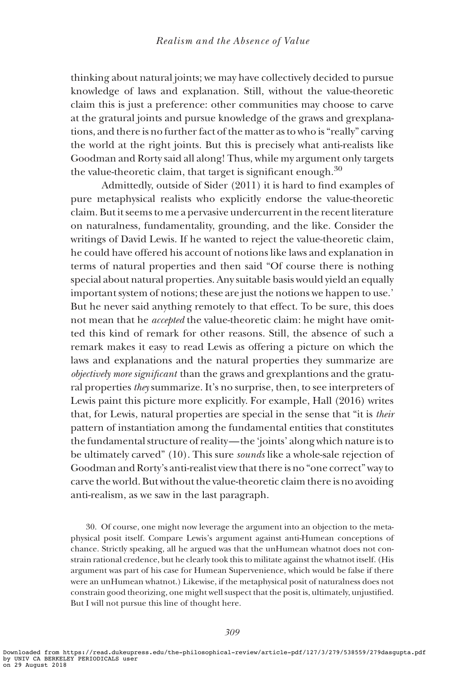thinking about natural joints; we may have collectively decided to pursue knowledge of laws and explanation. Still, without the value-theoretic claim this is just a preference: other communities may choose to carve at the gratural joints and pursue knowledge of the graws and grexplanations, and there is no further fact of the matter as to who is "really" carving the world at the right joints. But this is precisely what anti-realists like Goodman and Rorty said all along! Thus, while my argument only targets the value-theoretic claim, that target is significant enough.<sup>30</sup>

Admittedly, outside of Sider (2011) it is hard to find examples of pure metaphysical realists who explicitly endorse the value-theoretic claim. But it seems to me a pervasive undercurrent in the recent literature on naturalness, fundamentality, grounding, and the like. Consider the writings of David Lewis. If he wanted to reject the value-theoretic claim, he could have offered his account of notions like laws and explanation in terms of natural properties and then said "Of course there is nothing special about natural properties. Any suitable basis would yield an equally important system of notions; these are just the notions we happen to use.' But he never said anything remotely to that effect. To be sure, this does not mean that he accepted the value-theoretic claim: he might have omitted this kind of remark for other reasons. Still, the absence of such a remark makes it easy to read Lewis as offering a picture on which the laws and explanations and the natural properties they summarize are objectively more significant than the graws and grexplantions and the gratural properties they summarize. It's no surprise, then, to see interpreters of Lewis paint this picture more explicitly. For example, Hall (2016) writes that, for Lewis, natural properties are special in the sense that "it is their pattern of instantiation among the fundamental entities that constitutes the fundamental structure of reality— the 'joints' along which nature is to be ultimately carved" (10). This sure sounds like a whole-sale rejection of Goodman and Rorty's anti-realist view that there is no "one correct" way to carve the world. But without the value-theoretic claim there is no avoiding anti-realism, as we saw in the last paragraph.

30. Of course, one might now leverage the argument into an objection to the metaphysical posit itself. Compare Lewis's argument against anti-Humean conceptions of chance. Strictly speaking, all he argued was that the unHumean whatnot does not constrain rational credence, but he clearly took this to militate against the whatnot itself. (His argument was part of his case for Humean Supervenience, which would be false if there were an unHumean whatnot.) Likewise, if the metaphysical posit of naturalness does not constrain good theorizing, one might well suspect that the posit is, ultimately, unjustified. But I will not pursue this line of thought here.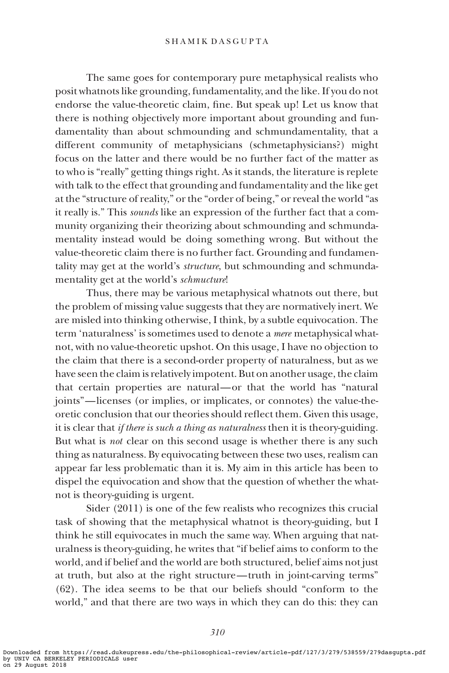The same goes for contemporary pure metaphysical realists who posit whatnots like grounding, fundamentality, and the like. If you do not endorse the value-theoretic claim, fine. But speak up! Let us know that there is nothing objectively more important about grounding and fundamentality than about schmounding and schmundamentality, that a different community of metaphysicians (schmetaphysicians?) might focus on the latter and there would be no further fact of the matter as to who is "really" getting things right. As it stands, the literature is replete with talk to the effect that grounding and fundamentality and the like get at the "structure of reality," or the "order of being," or reveal the world "as it really is." This sounds like an expression of the further fact that a community organizing their theorizing about schmounding and schmundamentality instead would be doing something wrong. But without the value-theoretic claim there is no further fact. Grounding and fundamentality may get at the world's *structure*, but schmounding and schmundamentality get at the world's schmucture!

Thus, there may be various metaphysical whatnots out there, but the problem of missing value suggests that they are normatively inert. We are misled into thinking otherwise, I think, by a subtle equivocation. The term 'naturalness' is sometimes used to denote a mere metaphysical whatnot, with no value-theoretic upshot. On this usage, I have no objection to the claim that there is a second-order property of naturalness, but as we have seen the claim is relatively impotent. But on another usage, the claim that certain properties are natural—or that the world has "natural joints"—licenses (or implies, or implicates, or connotes) the value-theoretic conclusion that our theories should reflect them. Given this usage, it is clear that *if there is such a thing as naturalness* then it is theory-guiding. But what is *not* clear on this second usage is whether there is any such thing as naturalness. By equivocating between these two uses, realism can appear far less problematic than it is. My aim in this article has been to dispel the equivocation and show that the question of whether the whatnot is theory-guiding is urgent.

Sider (2011) is one of the few realists who recognizes this crucial task of showing that the metaphysical whatnot is theory-guiding, but I think he still equivocates in much the same way. When arguing that naturalness is theory-guiding, he writes that "if belief aims to conform to the world, and if belief and the world are both structured, belief aims not just at truth, but also at the right structure— truth in joint-carving terms" (62). The idea seems to be that our beliefs should "conform to the world," and that there are two ways in which they can do this: they can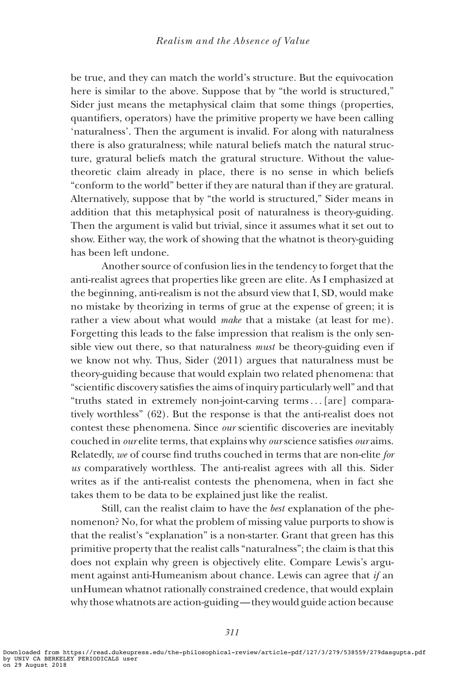be true, and they can match the world's structure. But the equivocation here is similar to the above. Suppose that by "the world is structured," Sider just means the metaphysical claim that some things (properties, quantifiers, operators) have the primitive property we have been calling 'naturalness'. Then the argument is invalid. For along with naturalness there is also graturalness; while natural beliefs match the natural structure, gratural beliefs match the gratural structure. Without the valuetheoretic claim already in place, there is no sense in which beliefs "conform to the world" better if they are natural than if they are gratural. Alternatively, suppose that by "the world is structured," Sider means in addition that this metaphysical posit of naturalness is theory-guiding. Then the argument is valid but trivial, since it assumes what it set out to show. Either way, the work of showing that the whatnot is theory-guiding has been left undone.

Another source of confusion lies in the tendency to forget that the anti-realist agrees that properties like green are elite. As I emphasized at the beginning, anti-realism is not the absurd view that I, SD, would make no mistake by theorizing in terms of grue at the expense of green; it is rather a view about what would make that a mistake (at least for me). Forgetting this leads to the false impression that realism is the only sensible view out there, so that naturalness *must* be theory-guiding even if we know not why. Thus, Sider (2011) argues that naturalness must be theory-guiding because that would explain two related phenomena: that "scientific discovery satisfies the aims of inquiry particularly well" and that "truths stated in extremely non-joint-carving terms... [are] comparatively worthless" (62). But the response is that the anti-realist does not contest these phenomena. Since our scientific discoveries are inevitably couched in our elite terms, that explains why our science satisfies our aims. Relatedly, we of course find truths couched in terms that are non-elite for us comparatively worthless. The anti-realist agrees with all this. Sider writes as if the anti-realist contests the phenomena, when in fact she takes them to be data to be explained just like the realist.

Still, can the realist claim to have the best explanation of the phenomenon? No, for what the problem of missing value purports to show is that the realist's "explanation" is a non-starter. Grant that green has this primitive property that the realist calls "naturalness"; the claim is that this does not explain why green is objectively elite. Compare Lewis's argument against anti-Humeanism about chance. Lewis can agree that if an unHumean whatnot rationally constrained credence, that would explain why those whatnots are action-guiding— they would guide action because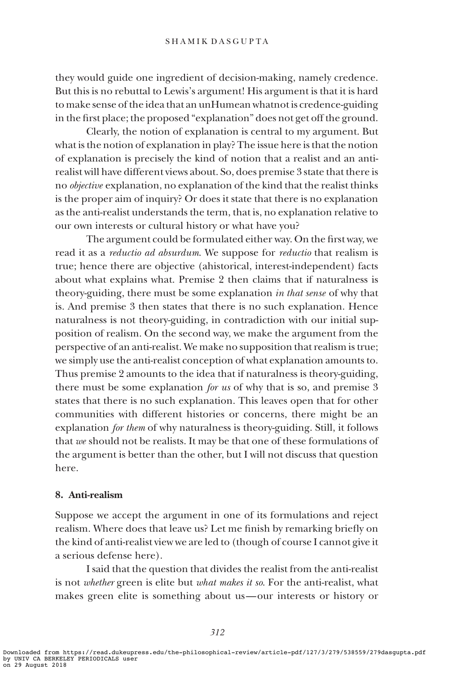they would guide one ingredient of decision-making, namely credence. But this is no rebuttal to Lewis's argument! His argument is that it is hard to make sense of the idea that an unHumean whatnot is credence-guiding in the first place; the proposed "explanation" does not get off the ground.

Clearly, the notion of explanation is central to my argument. But what is the notion of explanation in play? The issue here is that the notion of explanation is precisely the kind of notion that a realist and an antirealist will have different views about. So, does premise 3 state that there is no objective explanation, no explanation of the kind that the realist thinks is the proper aim of inquiry? Or does it state that there is no explanation as the anti-realist understands the term, that is, no explanation relative to our own interests or cultural history or what have you?

The argument could be formulated either way. On the first way, we read it as a *reductio ad absurdum*. We suppose for *reductio* that realism is true; hence there are objective (ahistorical, interest-independent) facts about what explains what. Premise 2 then claims that if naturalness is theory-guiding, there must be some explanation in that sense of why that is. And premise 3 then states that there is no such explanation. Hence naturalness is not theory-guiding, in contradiction with our initial supposition of realism. On the second way, we make the argument from the perspective of an anti-realist. We make no supposition that realism is true; we simply use the anti-realist conception of what explanation amounts to. Thus premise 2 amounts to the idea that if naturalness is theory-guiding, there must be some explanation for us of why that is so, and premise 3 states that there is no such explanation. This leaves open that for other communities with different histories or concerns, there might be an explanation for them of why naturalness is theory-guiding. Still, it follows that we should not be realists. It may be that one of these formulations of the argument is better than the other, but I will not discuss that question here.

### 8. Anti-realism

Suppose we accept the argument in one of its formulations and reject realism. Where does that leave us? Let me finish by remarking briefly on the kind of anti-realist view we are led to (though of course I cannot give it a serious defense here).

I said that the question that divides the realist from the anti-realist is not whether green is elite but what makes it so. For the anti-realist, what makes green elite is something about us—our interests or history or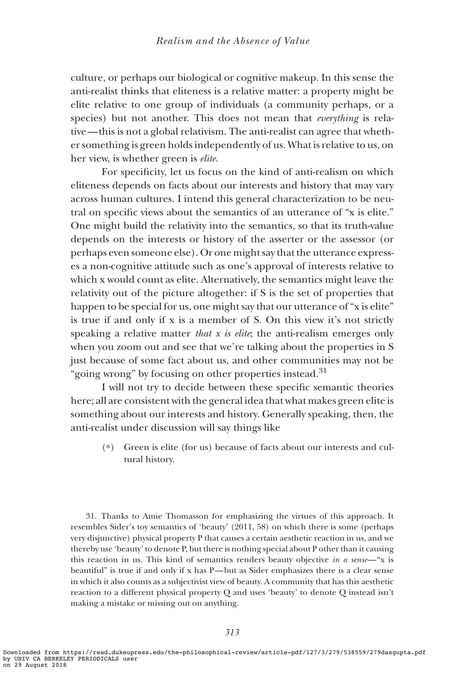culture, or perhaps our biological or cognitive makeup. In this sense the anti-realist thinks that eliteness is a relative matter: a property might be elite relative to one group of individuals (a community perhaps, or a species) but not another. This does not mean that *everything* is relative— this is not a global relativism. The anti-realist can agree that whether something is green holds independently of us. What is relative to us, on her view, is whether green is elite.

For specificity, let us focus on the kind of anti-realism on which eliteness depends on facts about our interests and history that may vary across human cultures. I intend this general characterization to be neutral on specific views about the semantics of an utterance of "x is elite." One might build the relativity into the semantics, so that its truth-value depends on the interests or history of the asserter or the assessor (or perhaps even someone else). Or one might say that the utterance expresses a non-cognitive attitude such as one's approval of interests relative to which x would count as elite. Alternatively, the semantics might leave the relativity out of the picture altogether: if S is the set of properties that happen to be special for us, one might say that our utterance of "x is elite" is true if and only if x is a member of S. On this view it's not strictly speaking a relative matter that  $x$  is elite; the anti-realism emerges only when you zoom out and see that we're talking about the properties in S just because of some fact about us, and other communities may not be "going wrong" by focusing on other properties instead. $31$ 

I will not try to decide between these specific semantic theories here; all are consistent with the general idea that what makes green elite is something about our interests and history. Generally speaking, then, the anti-realist under discussion will say things like

(\*) Green is elite (for us) because of facts about our interests and cultural history.

31. Thanks to Amie Thomasson for emphasizing the virtues of this approach. It resembles Sider's toy semantics of 'beauty' (2011, 58) on which there is some (perhaps very disjunctive) physical property P that causes a certain aesthetic reaction in us, and we thereby use 'beauty' to denote P, but there is nothing special about P other than it causing this reaction in us. This kind of semantics renders beauty objective in a sense—"x is beautiful" is true if and only if x has P—but as Sider emphasizes there is a clear sense in which it also counts as a subjectivist view of beauty. A community that has this aesthetic reaction to a different physical property Q and uses 'beauty' to denote Q instead isn't making a mistake or missing out on anything.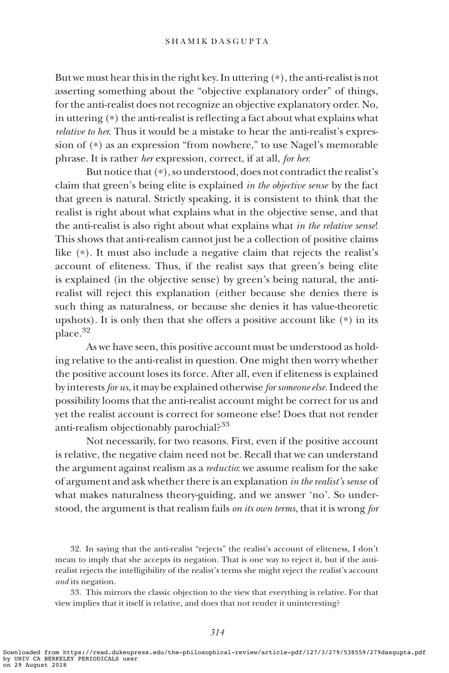But we must hear this in the right key. In uttering (\*), the anti-realist is not asserting something about the "objective explanatory order" of things, for the anti-realist does not recognize an objective explanatory order. No, in uttering (\*) the anti-realist is reflecting a fact about what explains what relative to her. Thus it would be a mistake to hear the anti-realist's expression of (\*) as an expression "from nowhere," to use Nagel's memorable phrase. It is rather her expression, correct, if at all, for her.

But notice that (\*), so understood, does not contradict the realist's claim that green's being elite is explained in the objective sense by the fact that green is natural. Strictly speaking, it is consistent to think that the realist is right about what explains what in the objective sense, and that the anti-realist is also right about what explains what in the relative sense! This shows that anti-realism cannot just be a collection of positive claims like (\*). It must also include a negative claim that rejects the realist's account of eliteness. Thus, if the realist says that green's being elite is explained (in the objective sense) by green's being natural, the antirealist will reject this explanation (either because she denies there is such thing as naturalness, or because she denies it has value-theoretic upshots). It is only then that she offers a positive account like (\*) in its place.<sup>32</sup>

As we have seen, this positive account must be understood as holding relative to the anti-realist in question. One might then worry whether the positive account loses its force. After all, even if eliteness is explained by interests for us, it may be explained otherwise for someone else. Indeed the possibility looms that the anti-realist account might be correct for us and yet the realist account is correct for someone else! Does that not render anti-realism objectionably parochial?<sup>33</sup>

Not necessarily, for two reasons. First, even if the positive account is relative, the negative claim need not be. Recall that we can understand the argument against realism as a *reductio*: we assume realism for the sake of argument and ask whether there is an explanation in the realist's sense of what makes naturalness theory-guiding, and we answer 'no'. So understood, the argument is that realism fails *on its own terms*, that it is wrong for

32. In saying that the anti-realist "rejects" the realist's account of eliteness, I don't mean to imply that she accepts its negation. That is one way to reject it, but if the antirealist rejects the intelligibility of the realist's terms she might reject the realist's account and its negation.

33. This mirrors the classic objection to the view that everything is relative. For that view implies that it itself is relative, and does that not render it uninteresting?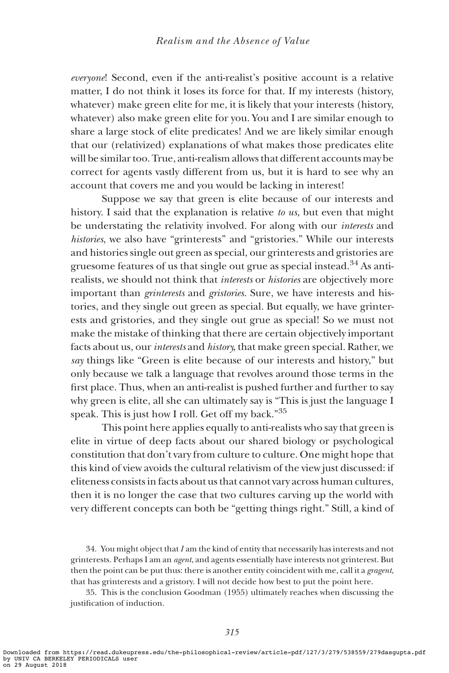everyone! Second, even if the anti-realist's positive account is a relative matter, I do not think it loses its force for that. If my interests (history, whatever) make green elite for me, it is likely that your interests (history, whatever) also make green elite for you. You and I are similar enough to share a large stock of elite predicates! And we are likely similar enough that our (relativized) explanations of what makes those predicates elite will be similar too. True, anti-realism allows that different accounts may be correct for agents vastly different from us, but it is hard to see why an account that covers me and you would be lacking in interest!

Suppose we say that green is elite because of our interests and history. I said that the explanation is relative to us, but even that might be understating the relativity involved. For along with our interests and histories, we also have "grinterests" and "gristories." While our interests and histories single out green as special, our grinterests and gristories are gruesome features of us that single out grue as special instead.34 As antirealists, we should not think that interests or histories are objectively more important than *grinterests* and *gristories*. Sure, we have interests and histories, and they single out green as special. But equally, we have grinterests and gristories, and they single out grue as special! So we must not make the mistake of thinking that there are certain objectively important facts about us, our interests and history, that make green special. Rather, we say things like "Green is elite because of our interests and history," but only because we talk a language that revolves around those terms in the first place. Thus, when an anti-realist is pushed further and further to say why green is elite, all she can ultimately say is "This is just the language I speak. This is just how I roll. Get off my back."<sup>35</sup>

This point here applies equally to anti-realists who say that green is elite in virtue of deep facts about our shared biology or psychological constitution that don't vary from culture to culture. One might hope that this kind of view avoids the cultural relativism of the view just discussed: if eliteness consists in facts about us that cannot vary across human cultures, then it is no longer the case that two cultures carving up the world with very different concepts can both be "getting things right." Still, a kind of

34. You might object that I am the kind of entity that necessarily has interests and not grinterests. Perhaps I am an agent, and agents essentially have interests not grinterest. But then the point can be put thus: there is another entity coincident with me, call it a gragent, that has grinterests and a gristory. I will not decide how best to put the point here.

35. This is the conclusion Goodman (1955) ultimately reaches when discussing the justification of induction.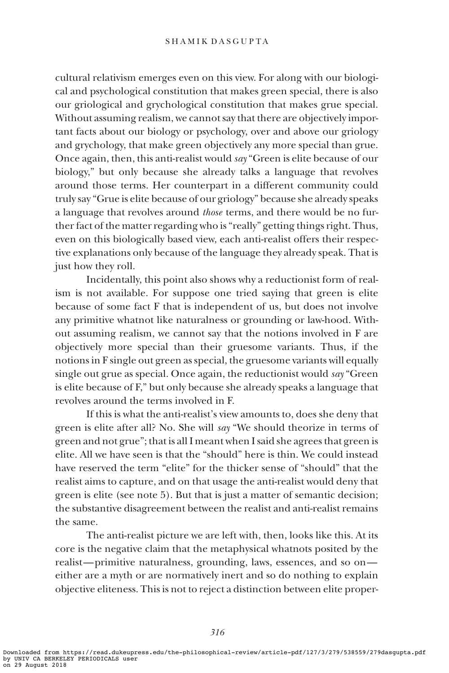cultural relativism emerges even on this view. For along with our biological and psychological constitution that makes green special, there is also our griological and grychological constitution that makes grue special. Without assuming realism, we cannot say that there are objectively important facts about our biology or psychology, over and above our griology and grychology, that make green objectively any more special than grue. Once again, then, this anti-realist would say "Green is elite because of our biology," but only because she already talks a language that revolves around those terms. Her counterpart in a different community could truly say "Grue is elite because of our griology" because she already speaks a language that revolves around those terms, and there would be no further fact of the matter regarding who is "really" getting things right. Thus, even on this biologically based view, each anti-realist offers their respective explanations only because of the language they already speak. That is just how they roll.

Incidentally, this point also shows why a reductionist form of realism is not available. For suppose one tried saying that green is elite because of some fact F that is independent of us, but does not involve any primitive whatnot like naturalness or grounding or law-hood. Without assuming realism, we cannot say that the notions involved in F are objectively more special than their gruesome variants. Thus, if the notions in F single out green as special, the gruesome variants will equally single out grue as special. Once again, the reductionist would say "Green is elite because of F," but only because she already speaks a language that revolves around the terms involved in F.

If this is what the anti-realist's view amounts to, does she deny that green is elite after all? No. She will say "We should theorize in terms of green and not grue"; that is all I meant when I said she agrees that green is elite. All we have seen is that the "should" here is thin. We could instead have reserved the term "elite" for the thicker sense of "should" that the realist aims to capture, and on that usage the anti-realist would deny that green is elite (see note 5). But that is just a matter of semantic decision; the substantive disagreement between the realist and anti-realist remains the same.

The anti-realist picture we are left with, then, looks like this. At its core is the negative claim that the metaphysical whatnots posited by the realist—primitive naturalness, grounding, laws, essences, and so on either are a myth or are normatively inert and so do nothing to explain objective eliteness. This is not to reject a distinction between elite proper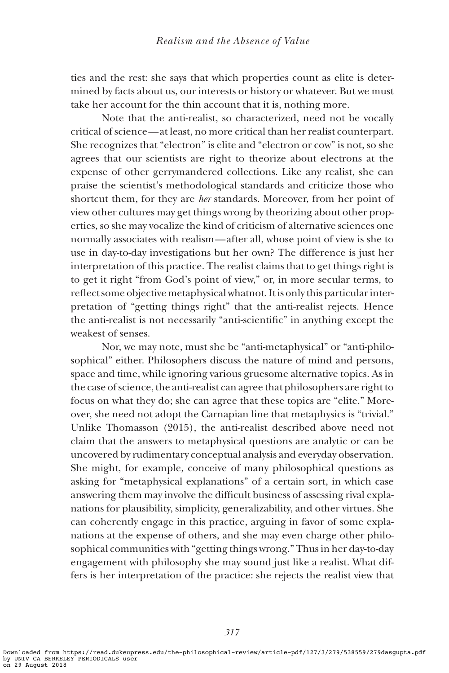ties and the rest: she says that which properties count as elite is determined by facts about us, our interests or history or whatever. But we must take her account for the thin account that it is, nothing more.

Note that the anti-realist, so characterized, need not be vocally critical of science—at least, no more critical than her realist counterpart. She recognizes that "electron" is elite and "electron or cow" is not, so she agrees that our scientists are right to theorize about electrons at the expense of other gerrymandered collections. Like any realist, she can praise the scientist's methodological standards and criticize those who shortcut them, for they are her standards. Moreover, from her point of view other cultures may get things wrong by theorizing about other properties, so she may vocalize the kind of criticism of alternative sciences one normally associates with realism—after all, whose point of view is she to use in day-to-day investigations but her own? The difference is just her interpretation of this practice. The realist claims that to get things right is to get it right "from God's point of view," or, in more secular terms, to reflect some objective metaphysical whatnot. It is only this particular interpretation of "getting things right" that the anti-realist rejects. Hence the anti-realist is not necessarily "anti-scientific" in anything except the weakest of senses.

Nor, we may note, must she be "anti-metaphysical" or "anti-philosophical" either. Philosophers discuss the nature of mind and persons, space and time, while ignoring various gruesome alternative topics. As in the case of science, the anti-realist can agree that philosophers are right to focus on what they do; she can agree that these topics are "elite." Moreover, she need not adopt the Carnapian line that metaphysics is "trivial." Unlike Thomasson (2015), the anti-realist described above need not claim that the answers to metaphysical questions are analytic or can be uncovered by rudimentary conceptual analysis and everyday observation. She might, for example, conceive of many philosophical questions as asking for "metaphysical explanations" of a certain sort, in which case answering them may involve the difficult business of assessing rival explanations for plausibility, simplicity, generalizability, and other virtues. She can coherently engage in this practice, arguing in favor of some explanations at the expense of others, and she may even charge other philosophical communities with "getting things wrong." Thus in her day-to-day engagement with philosophy she may sound just like a realist. What differs is her interpretation of the practice: she rejects the realist view that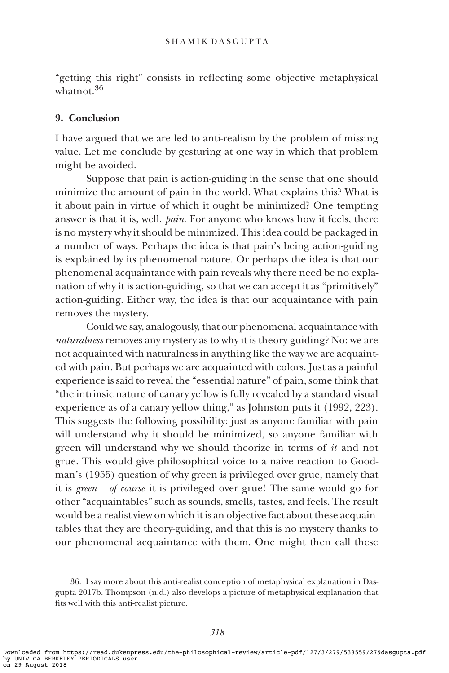"getting this right" consists in reflecting some objective metaphysical whatnot 36

## 9. Conclusion

I have argued that we are led to anti-realism by the problem of missing value. Let me conclude by gesturing at one way in which that problem might be avoided.

Suppose that pain is action-guiding in the sense that one should minimize the amount of pain in the world. What explains this? What is it about pain in virtue of which it ought be minimized? One tempting answer is that it is, well, pain. For anyone who knows how it feels, there is no mystery why it should be minimized. This idea could be packaged in a number of ways. Perhaps the idea is that pain's being action-guiding is explained by its phenomenal nature. Or perhaps the idea is that our phenomenal acquaintance with pain reveals why there need be no explanation of why it is action-guiding, so that we can accept it as "primitively" action-guiding. Either way, the idea is that our acquaintance with pain removes the mystery.

Could we say, analogously, that our phenomenal acquaintance with naturalness removes any mystery as to why it is theory-guiding? No: we are not acquainted with naturalness in anything like the way we are acquainted with pain. But perhaps we are acquainted with colors. Just as a painful experience is said to reveal the "essential nature" of pain, some think that "the intrinsic nature of canary yellow is fully revealed by a standard visual experience as of a canary yellow thing," as Johnston puts it (1992, 223). This suggests the following possibility: just as anyone familiar with pain will understand why it should be minimized, so anyone familiar with green will understand why we should theorize in terms of it and not grue. This would give philosophical voice to a naive reaction to Goodman's (1955) question of why green is privileged over grue, namely that it is green—of course it is privileged over grue! The same would go for other "acquaintables" such as sounds, smells, tastes, and feels. The result would be a realist view on which it is an objective fact about these acquaintables that they are theory-guiding, and that this is no mystery thanks to our phenomenal acquaintance with them. One might then call these

<sup>36.</sup> I say more about this anti-realist conception of metaphysical explanation in Dasgupta 2017b. Thompson (n.d.) also develops a picture of metaphysical explanation that fits well with this anti-realist picture.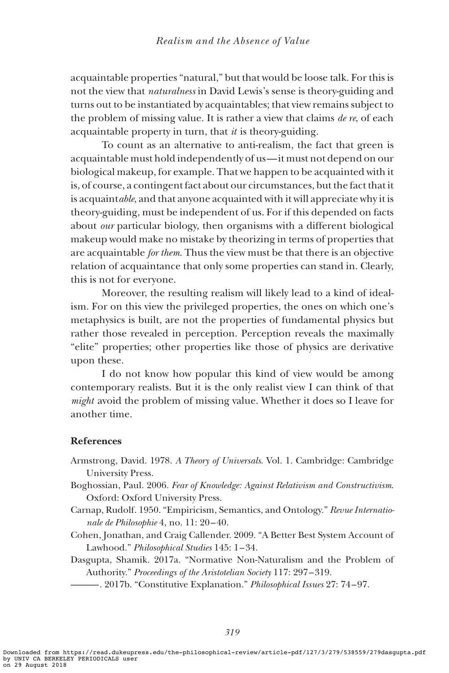acquaintable properties "natural," but that would be loose talk. For this is not the view that naturalness in David Lewis's sense is theory-guiding and turns out to be instantiated by acquaintables; that view remains subject to the problem of missing value. It is rather a view that claims  $de\ re$ , of each acquaintable property in turn, that it is theory-guiding.

To count as an alternative to anti-realism, the fact that green is acquaintable must hold independently of us—it must not depend on our biological makeup, for example. That we happen to be acquainted with it is, of course, a contingent fact about our circumstances, but the fact that it is acquaintable, and that anyone acquainted with it will appreciate why it is theory-guiding, must be independent of us. For if this depended on facts about our particular biology, then organisms with a different biological makeup would make no mistake by theorizing in terms of properties that are acquaintable for them. Thus the view must be that there is an objective relation of acquaintance that only some properties can stand in. Clearly, this is not for everyone.

Moreover, the resulting realism will likely lead to a kind of idealism. For on this view the privileged properties, the ones on which one's metaphysics is built, are not the properties of fundamental physics but rather those revealed in perception. Perception reveals the maximally "elite" properties; other properties like those of physics are derivative upon these.

I do not know how popular this kind of view would be among contemporary realists. But it is the only realist view I can think of that might avoid the problem of missing value. Whether it does so I leave for another time.

# References

- Armstrong, David. 1978. A Theory of Universals. Vol. 1. Cambridge: Cambridge University Press.
- Boghossian, Paul. 2006. Fear of Knowledge: Against Relativism and Constructivism. Oxford: Oxford University Press.
- Carnap, Rudolf. 1950. "Empiricism, Semantics, and Ontology." Revue Internationale de Philosophie 4, no. 11: 20–40.
- Cohen, Jonathan, and Craig Callender. 2009. "A Better Best System Account of Lawhood." Philosophical Studies 145: 1–34.

Dasgupta, Shamik. 2017a. "Normative Non-Naturalism and the Problem of Authority." Proceedings of the Aristotelian Society 117: 297 –319.

——. 2017b. "Constitutive Explanation." *Philosophical Issues* 27: 74–97.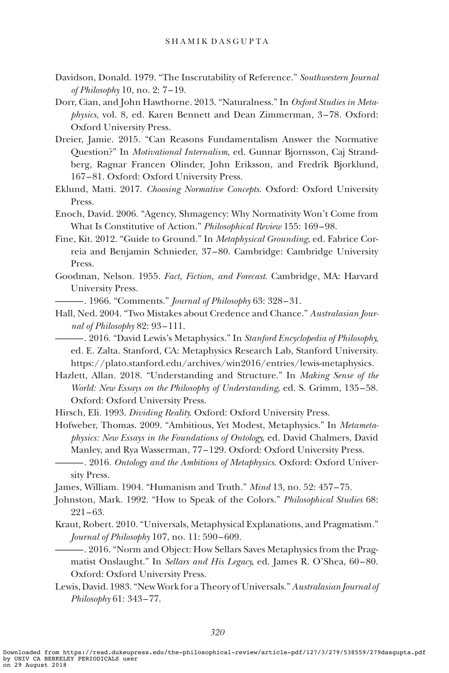- Davidson, Donald. 1979. "The Inscrutability of Reference." Southwestern Journal of Philosophy 10, no. 2: 7–19.
- Dorr, Cian, and John Hawthorne. 2013. "Naturalness." In Oxford Studies in Metaphysics, vol. 8, ed. Karen Bennett and Dean Zimmerman, 3-78. Oxford: Oxford University Press.
- Dreier, Jamie. 2015. "Can Reasons Fundamentalism Answer the Normative Question?" In Motivational Internalism, ed. Gunnar Bjornsson, Caj Strandberg, Ragnar Francen Olinder, John Eriksson, and Fredrik Bjorklund, 167–81. Oxford: Oxford University Press.
- Eklund, Matti. 2017. Choosing Normative Concepts. Oxford: Oxford University Press.
- Enoch, David. 2006. "Agency, Shmagency: Why Normativity Won't Come from What Is Constitutive of Action." Philosophical Review 155: 169–98.
- Fine, Kit. 2012. "Guide to Ground." In Metaphysical Grounding, ed. Fabrice Correia and Benjamin Schnieder, 37 –80. Cambridge: Cambridge University Press.
- Goodman, Nelson. 1955. Fact, Fiction, and Forecast. Cambridge, MA: Harvard University Press.
	- ——. 1966. "Comments." *Journal of Philosophy* 63: 328-31.
- Hall, Ned. 2004. "Two Mistakes about Credence and Chance." Australasian Journal of Philosophy 82: 93-111.

———. 2016. "David Lewis's Metaphysics." In Stanford Encyclopedia of Philosophy, ed. E. Zalta. Stanford, CA: Metaphysics Research Lab, Stanford University. https://plato.stanford.edu/archives/win2016/entries/lewis-metaphysics.

Hazlett, Allan. 2018. "Understanding and Structure." In Making Sense of the World: New Essays on the Philosophy of Understanding, ed. S. Grimm, 135 –58. Oxford: Oxford University Press.

Hirsch, Eli. 1993. Dividing Reality. Oxford: Oxford University Press.

Hofweber, Thomas. 2009. "Ambitious, Yet Modest, Metaphysics." In Metametaphysics: New Essays in the Foundations of Ontology, ed. David Chalmers, David Manley, and Rya Wasserman, 77 –129. Oxford: Oxford University Press.

---------------. 2016. Ontology and the Ambitions of Metaphysics. Oxford: Oxford University Press.

James, William. 1904. "Humanism and Truth." Mind 13, no. 52: 457–75.

- Johnston, Mark. 1992. "How to Speak of the Colors." Philosophical Studies 68: 221–63.
- Kraut, Robert. 2010. "Universals, Metaphysical Explanations, and Pragmatism." Journal of Philosophy 107, no. 11: 590 –609.
	- ———. 2016. "Norm and Object: How Sellars Saves Metaphysics from the Pragmatist Onslaught." In Sellars and His Legacy, ed. James R. O'Shea, 60-80. Oxford: Oxford University Press.
- Lewis, David. 1983. "New Work for a Theory of Universals." Australasian Journal of Philosophy 61: 343–77.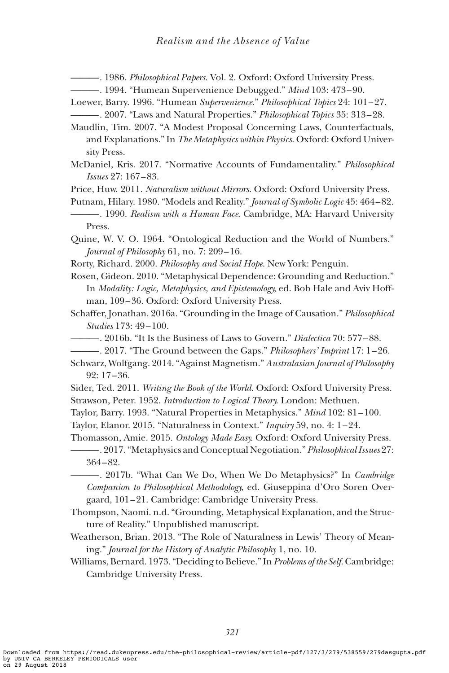- **-------** 1986. *Philosophical Papers*. Vol. 2. Oxford: Oxford University Press.
- -- 1994. "Humean Supervenience Debugged." Mind 103: 473-90.

Loewer, Barry. 1996. "Humean Supervenience." Philosophical Topics 24: 101–27. -. 2007. "Laws and Natural Properties." Philosophical Topics 35: 313-28.

- Maudlin, Tim. 2007. "A Modest Proposal Concerning Laws, Counterfactuals, and Explanations." In The Metaphysics within Physics. Oxford: Oxford University Press.
- McDaniel, Kris. 2017. "Normative Accounts of Fundamentality." Philosophical Issues 27: 167–83.
- Price, Huw. 2011. Naturalism without Mirrors. Oxford: Oxford University Press.
- Putnam, Hilary. 1980. "Models and Reality." Journal of Symbolic Logic 45: 464-82.
- **-** 1990. Realism with a Human Face. Cambridge, MA: Harvard University Press.

Quine, W. V. O. 1964. "Ontological Reduction and the World of Numbers." Journal of Philosophy 61, no. 7: 209–16.

Rorty, Richard. 2000. Philosophy and Social Hope. New York: Penguin.

Rosen, Gideon. 2010. "Metaphysical Dependence: Grounding and Reduction." In Modality: Logic, Metaphysics, and Epistemology, ed. Bob Hale and Aviv Hoffman, 109–36. Oxford: Oxford University Press.

- Schaffer, Jonathan. 2016a. "Grounding in the Image of Causation." Philosophical Studies 173: 49 –100.
- ——. 2016b. "It Is the Business of Laws to Govern." Dialectica 70: 577–88.
- ———. 2017. "The Ground between the Gaps." Philosophers' Imprint 17: 1–26.
- Schwarz, Wolfgang. 2014. "Against Magnetism." Australasian Journal of Philosophy 92: 17 –36.
- Sider, Ted. 2011. Writing the Book of the World. Oxford: Oxford University Press. Strawson, Peter. 1952. Introduction to Logical Theory. London: Methuen.
- Taylor, Barry. 1993. "Natural Properties in Metaphysics." Mind 102: 81–100.
- Taylor, Elanor. 2015. "Naturalness in Context." Inquiry 59, no. 4: 1 –24.

Thomasson, Amie. 2015. Ontology Made Easy. Oxford: Oxford University Press.

-. 2017. "Metaphysics and Conceptual Negotiation." Philosophical Issues 27: 364–82.

- 2017b. "What Can We Do, When We Do Metaphysics?" In Cambridge Companion to Philosophical Methodology, ed. Giuseppina d'Oro Soren Overgaard, 101–21. Cambridge: Cambridge University Press.

- Thompson, Naomi. n.d. "Grounding, Metaphysical Explanation, and the Structure of Reality." Unpublished manuscript.
- Weatherson, Brian. 2013. "The Role of Naturalness in Lewis' Theory of Meaning." Journal for the History of Analytic Philosophy 1, no. 10.

Williams, Bernard. 1973. "Deciding to Believe." In Problems of the Self. Cambridge: Cambridge University Press.